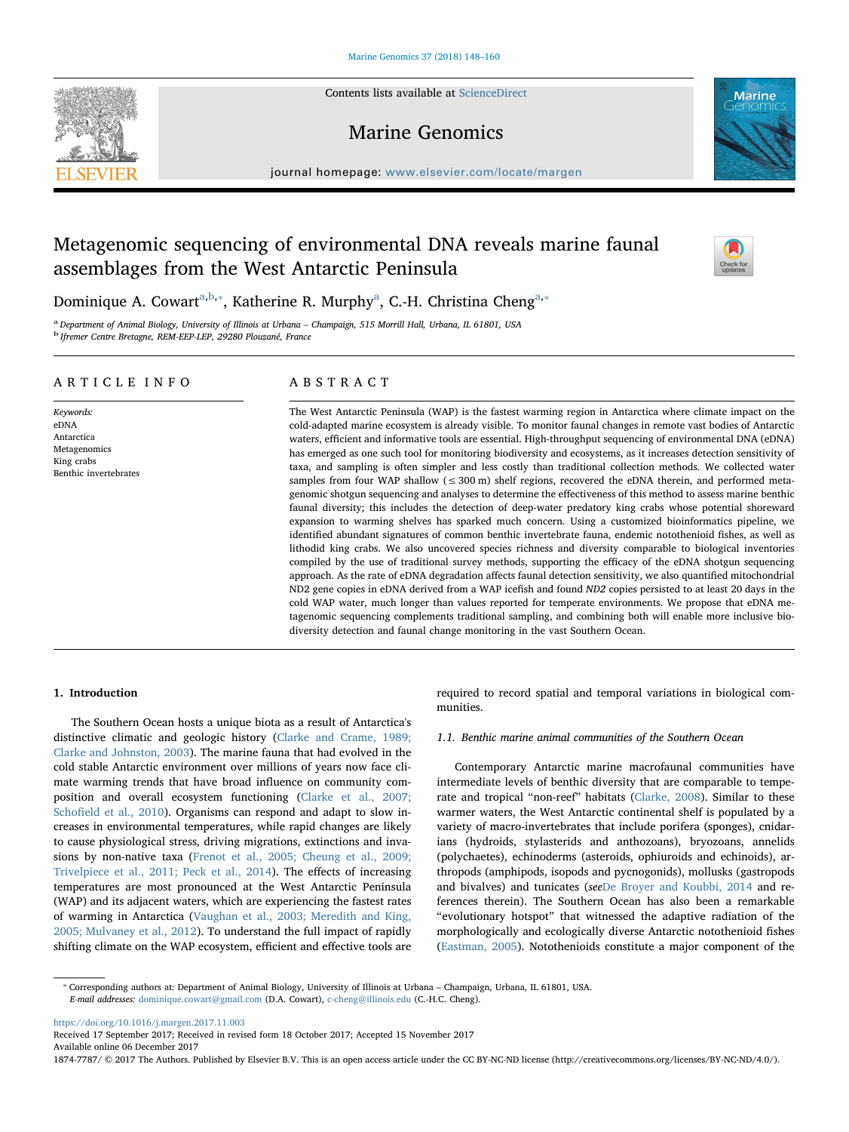Contents lists available at [ScienceDirect](http://www.sciencedirect.com/science/journal/18747787)

# Marine Genomics

journal homepage: [www.elsevier.com/locate/margen](https://www.elsevier.com/locate/margen)

# Metagenomic sequencing of environmental DNA reveals marine faunal assemblages from the West Antarctic Peninsula

Dominique A. Cow[a](#page-0-0)rt<sup>a[,b,](#page-0-1)\*</sup>, Katherine R. Murphy<sup>a</sup>, C.-H. Christina Cheng<sup>[a,](#page-0-0)\*</sup>

<span id="page-0-1"></span><span id="page-0-0"></span><sup>a</sup> Department of Animal Biology, University of Illinois at Urbana – Champaign, 515 Morrill Hall, Urbana, IL 61801, USA b Ifremer Centre Bretagne, REM-EEP-LEP, 29280 Plouzané, France

## ARTICLE INFO

Keywords: eDNA Antarctica Metagenomics King crabs Benthic invertebrates

## ABSTRACT

The West Antarctic Peninsula (WAP) is the fastest warming region in Antarctica where climate impact on the cold-adapted marine ecosystem is already visible. To monitor faunal changes in remote vast bodies of Antarctic waters, efficient and informative tools are essential. High-throughput sequencing of environmental DNA (eDNA) has emerged as one such tool for monitoring biodiversity and ecosystems, as it increases detection sensitivity of taxa, and sampling is often simpler and less costly than traditional collection methods. We collected water samples from four WAP shallow ( $\leq$  300 m) shelf regions, recovered the eDNA therein, and performed metagenomic shotgun sequencing and analyses to determine the effectiveness of this method to assess marine benthic faunal diversity; this includes the detection of deep-water predatory king crabs whose potential shoreward expansion to warming shelves has sparked much concern. Using a customized bioinformatics pipeline, we identified abundant signatures of common benthic invertebrate fauna, endemic notothenioid fishes, as well as lithodid king crabs. We also uncovered species richness and diversity comparable to biological inventories compiled by the use of traditional survey methods, supporting the efficacy of the eDNA shotgun sequencing approach. As the rate of eDNA degradation affects faunal detection sensitivity, we also quantified mitochondrial ND2 gene copies in eDNA derived from a WAP icefish and found ND2 copies persisted to at least 20 days in the cold WAP water, much longer than values reported for temperate environments. We propose that eDNA metagenomic sequencing complements traditional sampling, and combining both will enable more inclusive biodiversity detection and faunal change monitoring in the vast Southern Ocean.

## 1. Introduction

The Southern Ocean hosts a unique biota as a result of Antarctica's distinctive climatic and geologic history [\(Clarke and Crame, 1989;](#page-10-0) [Clarke and Johnston, 2003](#page-10-0)). The marine fauna that had evolved in the cold stable Antarctic environment over millions of years now face climate warming trends that have broad influence on community composition and overall ecosystem functioning [\(Clarke et al., 2007;](#page-10-1) Schofi[eld et al., 2010](#page-10-1)). Organisms can respond and adapt to slow increases in environmental temperatures, while rapid changes are likely to cause physiological stress, driving migrations, extinctions and invasions by non-native taxa ([Frenot et al., 2005; Cheung et al., 2009;](#page-11-0) [Trivelpiece et al., 2011; Peck et al., 2014\)](#page-11-0). The effects of increasing temperatures are most pronounced at the West Antarctic Peninsula (WAP) and its adjacent waters, which are experiencing the fastest rates of warming in Antarctica ([Vaughan et al., 2003; Meredith and King,](#page-12-0) [2005; Mulvaney et al., 2012](#page-12-0)). To understand the full impact of rapidly shifting climate on the WAP ecosystem, efficient and effective tools are required to record spatial and temporal variations in biological communities.

1.1. Benthic marine animal communities of the Southern Ocean

Contemporary Antarctic marine macrofaunal communities have intermediate levels of benthic diversity that are comparable to temperate and tropical "non-reef" habitats [\(Clarke, 2008\)](#page-10-2). Similar to these warmer waters, the West Antarctic continental shelf is populated by a variety of macro-invertebrates that include porifera (sponges), cnidarians (hydroids, stylasterids and anthozoans), bryozoans, annelids (polychaetes), echinoderms (asteroids, ophiuroids and echinoids), arthropods (amphipods, isopods and pycnogonids), mollusks (gastropods and bivalves) and tunicates (see[De Broyer and Koubbi, 2014](#page-10-3) and references therein). The Southern Ocean has also been a remarkable "evolutionary hotspot" that witnessed the adaptive radiation of the morphologically and ecologically diverse Antarctic notothenioid fishes ([Eastman, 2005](#page-11-1)). Notothenioids constitute a major component of the

<https://doi.org/10.1016/j.margen.2017.11.003>

1874-7787/ © 2017 The Authors. Published by Elsevier B.V. This is an open access article under the CC BY-NC-ND license (http://creativecommons.org/licenses/BY-NC-ND/4.0/).







<span id="page-0-2"></span><sup>⁎</sup> Corresponding authors at: Department of Animal Biology, University of Illinois at Urbana – Champaign, Urbana, IL 61801, USA. E-mail addresses: [dominique.cowart@gmail.com](mailto:dominique.cowart@gmail.com) (D.A. Cowart), [c-cheng@illinois.edu](mailto:c-cheng@illinois.edu) (C.-H.C. Cheng).

Received 17 September 2017; Received in revised form 18 October 2017; Accepted 15 November 2017 Available online 06 December 2017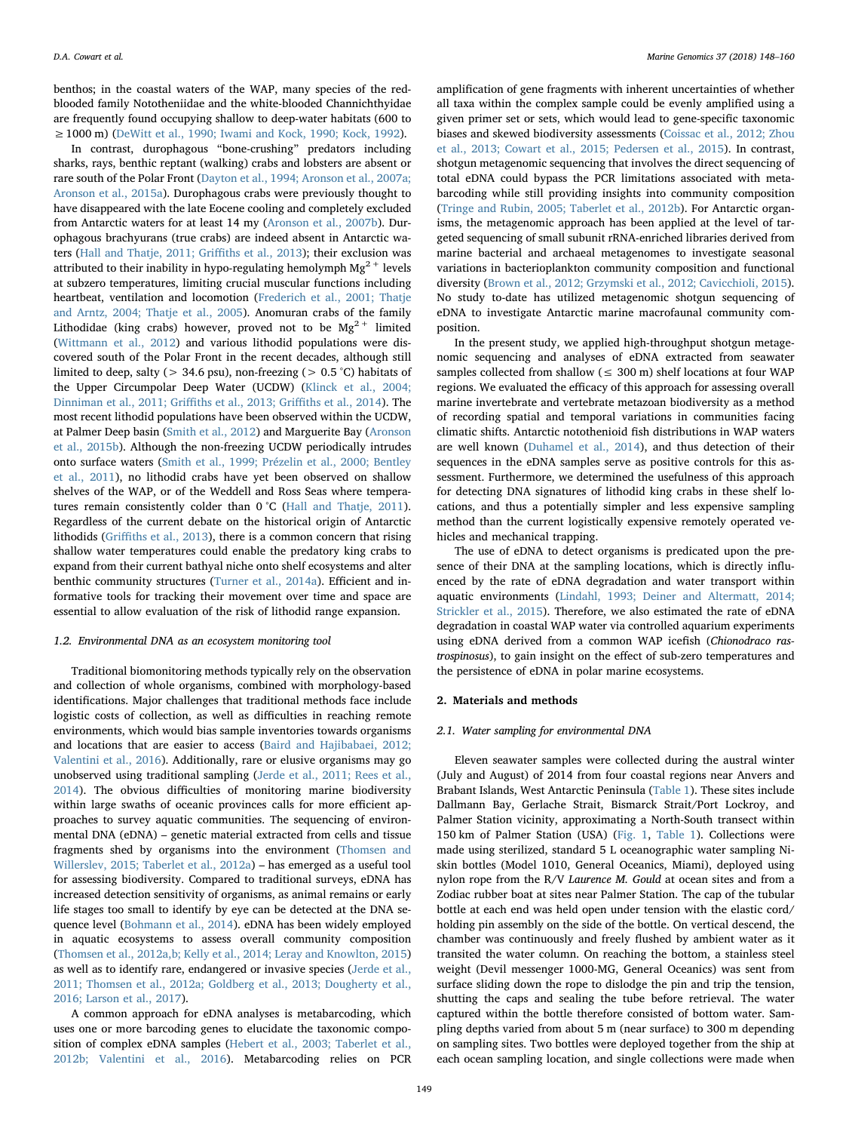benthos; in the coastal waters of the WAP, many species of the redblooded family Nototheniidae and the white-blooded Channichthyidae are frequently found occupying shallow to deep-water habitats (600 to ≥1000 m) ([DeWitt et al., 1990; Iwami and Kock, 1990; Kock, 1992\)](#page-11-2).

In contrast, durophagous "bone-crushing" predators including sharks, rays, benthic reptant (walking) crabs and lobsters are absent or rare south of the Polar Front [\(Dayton et al., 1994; Aronson et al., 2007a;](#page-10-4) [Aronson et al., 2015a](#page-10-4)). Durophagous crabs were previously thought to have disappeared with the late Eocene cooling and completely excluded from Antarctic waters for at least 14 my ([Aronson et al., 2007b\)](#page-10-5). Durophagous brachyurans (true crabs) are indeed absent in Antarctic wa-ters [\(Hall and Thatje, 2011; Gri](#page-11-3)ffiths et al., 2013); their exclusion was attributed to their inability in hypo-regulating hemolymph  $Mg^{2+}$  levels at subzero temperatures, limiting crucial muscular functions including heartbeat, ventilation and locomotion [\(Frederich et al., 2001; Thatje](#page-11-4) [and Arntz, 2004; Thatje et al., 2005](#page-11-4)). Anomuran crabs of the family Lithodidae (king crabs) however, proved not to be  $Mg^{2+}$  limited ([Wittmann et al., 2012](#page-12-1)) and various lithodid populations were discovered south of the Polar Front in the recent decades, although still limited to deep, salty ( $>$  34.6 psu), non-freezing ( $>$  0.5 °C) habitats of the Upper Circumpolar Deep Water (UCDW) [\(Klinck et al., 2004;](#page-11-5) [Dinniman et al., 2011; Gri](#page-11-5)ffiths et al., 2013; Griffiths et al., 2014). The most recent lithodid populations have been observed within the UCDW, at Palmer Deep basin [\(Smith et al., 2012\)](#page-11-6) and Marguerite Bay [\(Aronson](#page-10-6) [et al., 2015b](#page-10-6)). Although the non-freezing UCDW periodically intrudes onto surface waters ([Smith et al., 1999; Prézelin et al., 2000; Bentley](#page-11-7) [et al., 2011\)](#page-11-7), no lithodid crabs have yet been observed on shallow shelves of the WAP, or of the Weddell and Ross Seas where tempera-tures remain consistently colder than 0 °C ([Hall and Thatje, 2011](#page-11-3)). Regardless of the current debate on the historical origin of Antarctic lithodids (Griffi[ths et al., 2013](#page-11-8)), there is a common concern that rising shallow water temperatures could enable the predatory king crabs to expand from their current bathyal niche onto shelf ecosystems and alter benthic community structures [\(Turner et al., 2014a\)](#page-11-9). Efficient and informative tools for tracking their movement over time and space are essential to allow evaluation of the risk of lithodid range expansion.

### 1.2. Environmental DNA as an ecosystem monitoring tool

Traditional biomonitoring methods typically rely on the observation and collection of whole organisms, combined with morphology-based identifications. Major challenges that traditional methods face include logistic costs of collection, as well as difficulties in reaching remote environments, which would bias sample inventories towards organisms and locations that are easier to access [\(Baird and Hajibabaei, 2012;](#page-10-7) [Valentini et al., 2016](#page-10-7)). Additionally, rare or elusive organisms may go unobserved using traditional sampling ([Jerde et al., 2011; Rees et al.,](#page-11-10) [2014\)](#page-11-10). The obvious difficulties of monitoring marine biodiversity within large swaths of oceanic provinces calls for more efficient approaches to survey aquatic communities. The sequencing of environmental DNA (eDNA) – genetic material extracted from cells and tissue fragments shed by organisms into the environment ([Thomsen and](#page-11-11) [Willerslev, 2015; Taberlet et al., 2012a](#page-11-11)) – has emerged as a useful tool for assessing biodiversity. Compared to traditional surveys, eDNA has increased detection sensitivity of organisms, as animal remains or early life stages too small to identify by eye can be detected at the DNA sequence level [\(Bohmann et al., 2014\)](#page-10-8). eDNA has been widely employed in aquatic ecosystems to assess overall community composition ([Thomsen et al., 2012a,b; Kelly et al., 2014; Leray and Knowlton, 2015\)](#page-11-12) as well as to identify rare, endangered or invasive species [\(Jerde et al.,](#page-11-10) [2011; Thomsen et al., 2012a; Goldberg et al., 2013; Dougherty et al.,](#page-11-10) [2016; Larson et al., 2017](#page-11-10)).

A common approach for eDNA analyses is metabarcoding, which uses one or more barcoding genes to elucidate the taxonomic composition of complex eDNA samples [\(Hebert et al., 2003; Taberlet et al.,](#page-11-13) [2012b; Valentini et al., 2016\)](#page-11-13). Metabarcoding relies on PCR

amplification of gene fragments with inherent uncertainties of whether all taxa within the complex sample could be evenly amplified using a given primer set or sets, which would lead to gene-specific taxonomic biases and skewed biodiversity assessments ([Coissac et al., 2012; Zhou](#page-10-9) [et al., 2013; Cowart et al., 2015; Pedersen et al., 2015](#page-10-9)). In contrast, shotgun metagenomic sequencing that involves the direct sequencing of total eDNA could bypass the PCR limitations associated with metabarcoding while still providing insights into community composition ([Tringe and Rubin, 2005; Taberlet et al., 2012b](#page-11-14)). For Antarctic organisms, the metagenomic approach has been applied at the level of targeted sequencing of small subunit rRNA-enriched libraries derived from marine bacterial and archaeal metagenomes to investigate seasonal variations in bacterioplankton community composition and functional diversity [\(Brown et al., 2012; Grzymski et al., 2012; Cavicchioli, 2015](#page-10-10)). No study to-date has utilized metagenomic shotgun sequencing of eDNA to investigate Antarctic marine macrofaunal community composition.

In the present study, we applied high-throughput shotgun metagenomic sequencing and analyses of eDNA extracted from seawater samples collected from shallow ( $\leq 300$  m) shelf locations at four WAP regions. We evaluated the efficacy of this approach for assessing overall marine invertebrate and vertebrate metazoan biodiversity as a method of recording spatial and temporal variations in communities facing climatic shifts. Antarctic notothenioid fish distributions in WAP waters are well known ([Duhamel et al., 2014](#page-11-15)), and thus detection of their sequences in the eDNA samples serve as positive controls for this assessment. Furthermore, we determined the usefulness of this approach for detecting DNA signatures of lithodid king crabs in these shelf locations, and thus a potentially simpler and less expensive sampling method than the current logistically expensive remotely operated vehicles and mechanical trapping.

The use of eDNA to detect organisms is predicated upon the presence of their DNA at the sampling locations, which is directly influenced by the rate of eDNA degradation and water transport within aquatic environments ([Lindahl, 1993; Deiner and Altermatt, 2014;](#page-11-16) [Strickler et al., 2015\)](#page-11-16). Therefore, we also estimated the rate of eDNA degradation in coastal WAP water via controlled aquarium experiments using eDNA derived from a common WAP icefish (Chionodraco rastrospinosus), to gain insight on the effect of sub-zero temperatures and the persistence of eDNA in polar marine ecosystems.

#### 2. Materials and methods

#### 2.1. Water sampling for environmental DNA

Eleven seawater samples were collected during the austral winter (July and August) of 2014 from four coastal regions near Anvers and Brabant Islands, West Antarctic Peninsula [\(Table 1](#page-2-0)). These sites include Dallmann Bay, Gerlache Strait, Bismarck Strait/Port Lockroy, and Palmer Station vicinity, approximating a North-South transect within 150 km of Palmer Station (USA) [\(Fig. 1,](#page-2-1) [Table 1\)](#page-2-0). Collections were made using sterilized, standard 5 L oceanographic water sampling Niskin bottles (Model 1010, General Oceanics, Miami), deployed using nylon rope from the R/V Laurence M. Gould at ocean sites and from a Zodiac rubber boat at sites near Palmer Station. The cap of the tubular bottle at each end was held open under tension with the elastic cord/ holding pin assembly on the side of the bottle. On vertical descend, the chamber was continuously and freely flushed by ambient water as it transited the water column. On reaching the bottom, a stainless steel weight (Devil messenger 1000-MG, General Oceanics) was sent from surface sliding down the rope to dislodge the pin and trip the tension, shutting the caps and sealing the tube before retrieval. The water captured within the bottle therefore consisted of bottom water. Sampling depths varied from about 5 m (near surface) to 300 m depending on sampling sites. Two bottles were deployed together from the ship at each ocean sampling location, and single collections were made when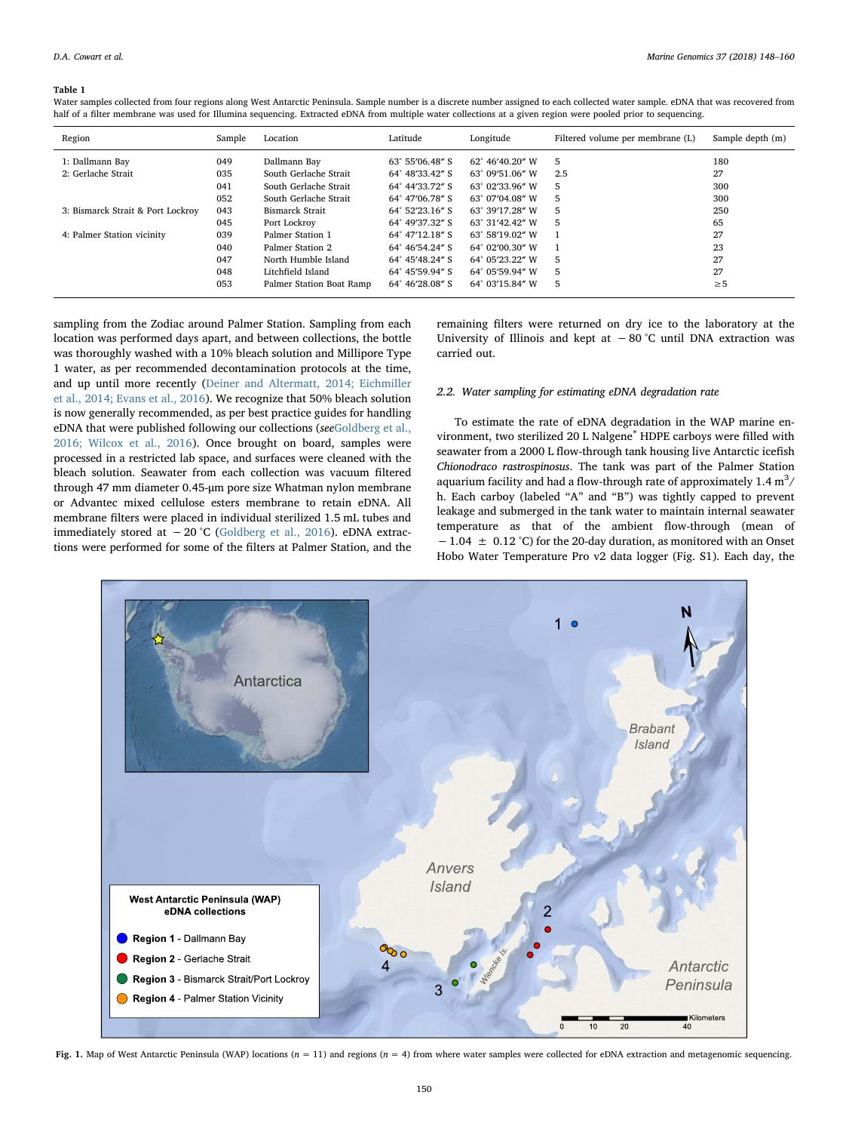#### <span id="page-2-0"></span>Table 1

Water samples collected from four regions along West Antarctic Peninsula. Sample number is a discrete number assigned to each collected water sample. eDNA that was recovered from half of a filter membrane was used for Illumina sequencing. Extracted eDNA from multiple water collections at a given region were pooled prior to sequencing.

| Region                            | Sample | Latitude<br>Longitude<br>Filtered volume per membrane (L)<br>Location |                          | Sample depth (m) |    |          |
|-----------------------------------|--------|-----------------------------------------------------------------------|--------------------------|------------------|----|----------|
| 1: Dallmann Bay                   | 049    | Dallmann Bay                                                          | $63^{\circ}$ 55'06.48" S | 62° 46'40.20" W  | 5  | 180      |
| 2: Gerlache Strait                | 035    | South Gerlache Strait<br>64° 48'33.42" S<br>63° 09'51.06" W<br>2.5    |                          |                  | 27 |          |
|                                   | 041    | South Gerlache Strait                                                 | 64° 44'33.72" S          | 63° 02'33.96" W  | 5  | 300      |
|                                   | 052    | South Gerlache Strait                                                 | 64° 47'06.78" S          | 63° 07'04.08" W  | 5  | 300      |
| 3: Bismarck Strait & Port Lockroy | 043    | Bismarck Strait                                                       | $64^{\circ}$ 52'23.16" S | 63° 39'17.28" W  | 5  | 250      |
|                                   | 045    | Port Lockroy                                                          | 64° 49'37.32" S          | 63° 31'42.42" W  | 5  | 65       |
| 4: Palmer Station vicinity        | 039    | Palmer Station 1                                                      | 64° 47'12.18" S          | 63° 58'19.02" W  |    | 27       |
|                                   | 040    | Palmer Station 2                                                      | $64^{\circ}$ 46'54.24" S | 64° 02'00.30" W  |    | 23       |
|                                   | 047    | North Humble Island                                                   | 64° 45'48.24" S          | 64° 05'23.22" W  | 5  | 27       |
|                                   | 048    | Litchfield Island                                                     | 64° 45'59.94" S          | 64° 05'59.94" W  | 5  | 27       |
|                                   | 053    | Palmer Station Boat Ramp                                              | 64° 46'28.08" S          | 64° 03'15.84" W  | 5  | $\geq 5$ |

sampling from the Zodiac around Palmer Station. Sampling from each location was performed days apart, and between collections, the bottle was thoroughly washed with a 10% bleach solution and Millipore Type 1 water, as per recommended decontamination protocols at the time, and up until more recently ([Deiner and Altermatt, 2014; Eichmiller](#page-10-11) [et al., 2014; Evans et al., 2016](#page-10-11)). We recognize that 50% bleach solution is now generally recommended, as per best practice guides for handling eDNA that were published following our collections (see[Goldberg et al.,](#page-11-17) [2016; Wilcox et al., 2016\)](#page-11-17). Once brought on board, samples were processed in a restricted lab space, and surfaces were cleaned with the bleach solution. Seawater from each collection was vacuum filtered through 47 mm diameter 0.45-μm pore size Whatman nylon membrane or Advantec mixed cellulose esters membrane to retain eDNA. All membrane filters were placed in individual sterilized 1.5 mL tubes and immediately stored at  $-20$  °C ([Goldberg et al., 2016\)](#page-11-17). eDNA extractions were performed for some of the filters at Palmer Station, and the remaining filters were returned on dry ice to the laboratory at the University of Illinois and kept at  $-80$  °C until DNA extraction was carried out.

## 2.2. Water sampling for estimating eDNA degradation rate

To estimate the rate of eDNA degradation in the WAP marine environment, two sterilized 20 L Nalgene® HDPE carboys were filled with seawater from a 2000 L flow-through tank housing live Antarctic icefish Chionodraco rastrospinosus. The tank was part of the Palmer Station aquarium facility and had a flow-through rate of approximately  $1.4 \text{ m}^3$ / h. Each carboy (labeled "A" and "B") was tightly capped to prevent leakage and submerged in the tank water to maintain internal seawater temperature as that of the ambient flow-through (mean of  $-1.04 \pm 0.12$  °C) for the 20-day duration, as monitored with an Onset Hobo Water Temperature Pro v2 data logger (Fig. S1). Each day, the

<span id="page-2-1"></span>

Fig. 1. Map of West Antarctic Peninsula (WAP) locations ( $n = 11$ ) and regions ( $n = 4$ ) from where water samples were collected for eDNA extraction and metagenomic sequencing.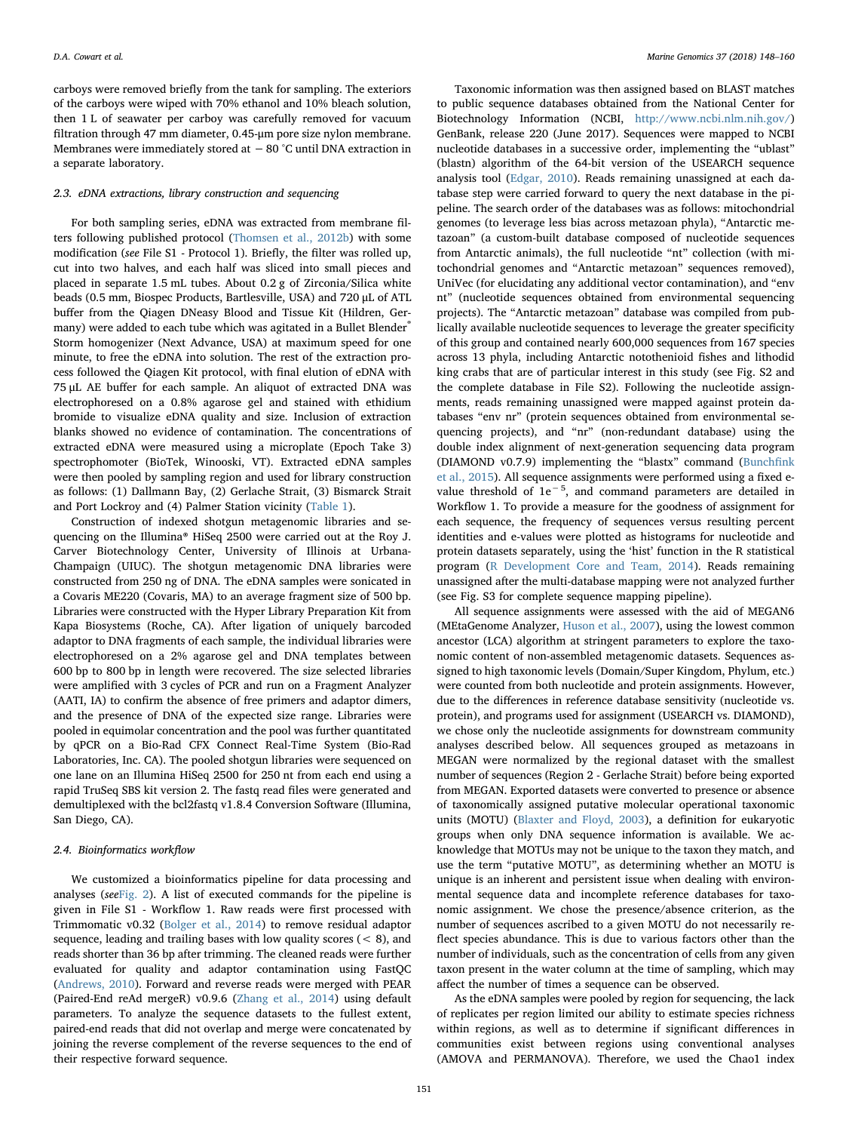carboys were removed briefly from the tank for sampling. The exteriors of the carboys were wiped with 70% ethanol and 10% bleach solution, then 1 L of seawater per carboy was carefully removed for vacuum filtration through 47 mm diameter, 0.45-μm pore size nylon membrane. Membranes were immediately stored at −80 °C until DNA extraction in a separate laboratory.

#### 2.3. eDNA extractions, library construction and sequencing

For both sampling series, eDNA was extracted from membrane filters following published protocol ([Thomsen et al., 2012b](#page-11-18)) with some modification (see File S1 - Protocol 1). Briefly, the filter was rolled up, cut into two halves, and each half was sliced into small pieces and placed in separate 1.5 mL tubes. About 0.2 g of Zirconia/Silica white beads (0.5 mm, Biospec Products, Bartlesville, USA) and 720 μL of ATL buffer from the Qiagen DNeasy Blood and Tissue Kit (Hildren, Germany) were added to each tube which was agitated in a Bullet Blender® Storm homogenizer (Next Advance, USA) at maximum speed for one minute, to free the eDNA into solution. The rest of the extraction process followed the Qiagen Kit protocol, with final elution of eDNA with 75 μL AE buffer for each sample. An aliquot of extracted DNA was electrophoresed on a 0.8% agarose gel and stained with ethidium bromide to visualize eDNA quality and size. Inclusion of extraction blanks showed no evidence of contamination. The concentrations of extracted eDNA were measured using a microplate (Epoch Take 3) spectrophomoter (BioTek, Winooski, VT). Extracted eDNA samples were then pooled by sampling region and used for library construction as follows: (1) Dallmann Bay, (2) Gerlache Strait, (3) Bismarck Strait and Port Lockroy and (4) Palmer Station vicinity ([Table 1\)](#page-2-0).

Construction of indexed shotgun metagenomic libraries and sequencing on the Illumina® HiSeq 2500 were carried out at the Roy J. Carver Biotechnology Center, University of Illinois at Urbana-Champaign (UIUC). The shotgun metagenomic DNA libraries were constructed from 250 ng of DNA. The eDNA samples were sonicated in a Covaris ME220 (Covaris, MA) to an average fragment size of 500 bp. Libraries were constructed with the Hyper Library Preparation Kit from Kapa Biosystems (Roche, CA). After ligation of uniquely barcoded adaptor to DNA fragments of each sample, the individual libraries were electrophoresed on a 2% agarose gel and DNA templates between 600 bp to 800 bp in length were recovered. The size selected libraries were amplified with 3 cycles of PCR and run on a Fragment Analyzer (AATI, IA) to confirm the absence of free primers and adaptor dimers, and the presence of DNA of the expected size range. Libraries were pooled in equimolar concentration and the pool was further quantitated by qPCR on a Bio-Rad CFX Connect Real-Time System (Bio-Rad Laboratories, Inc. CA). The pooled shotgun libraries were sequenced on one lane on an Illumina HiSeq 2500 for 250 nt from each end using a rapid TruSeq SBS kit version 2. The fastq read files were generated and demultiplexed with the bcl2fastq v1.8.4 Conversion Software (Illumina, San Diego, CA).

### 2.4. Bioinformatics workflow

We customized a bioinformatics pipeline for data processing and analyses (see[Fig. 2\)](#page-4-0). A list of executed commands for the pipeline is given in File S1 - Workflow 1. Raw reads were first processed with Trimmomatic v0.32 [\(Bolger et al., 2014\)](#page-10-12) to remove residual adaptor sequence, leading and trailing bases with low quality scores (< 8), and reads shorter than 36 bp after trimming. The cleaned reads were further evaluated for quality and adaptor contamination using FastQC ([Andrews, 2010](#page-10-13)). Forward and reverse reads were merged with PEAR (Paired-End reAd mergeR) v0.9.6 [\(Zhang et al., 2014\)](#page-12-2) using default parameters. To analyze the sequence datasets to the fullest extent, paired-end reads that did not overlap and merge were concatenated by joining the reverse complement of the reverse sequences to the end of their respective forward sequence.

Taxonomic information was then assigned based on BLAST matches to public sequence databases obtained from the National Center for Biotechnology Information (NCBI, [http://www.ncbi.nlm.nih.gov/\)](http://www.ncbi.nlm.nih.gov/) GenBank, release 220 (June 2017). Sequences were mapped to NCBI nucleotide databases in a successive order, implementing the "ublast" (blastn) algorithm of the 64-bit version of the USEARCH sequence analysis tool [\(Edgar, 2010](#page-11-19)). Reads remaining unassigned at each database step were carried forward to query the next database in the pipeline. The search order of the databases was as follows: mitochondrial genomes (to leverage less bias across metazoan phyla), "Antarctic metazoan" (a custom-built database composed of nucleotide sequences from Antarctic animals), the full nucleotide "nt" collection (with mitochondrial genomes and "Antarctic metazoan" sequences removed), UniVec (for elucidating any additional vector contamination), and "env nt" (nucleotide sequences obtained from environmental sequencing projects). The "Antarctic metazoan" database was compiled from publically available nucleotide sequences to leverage the greater specificity of this group and contained nearly 600,000 sequences from 167 species across 13 phyla, including Antarctic notothenioid fishes and lithodid king crabs that are of particular interest in this study (see Fig. S2 and the complete database in File S2). Following the nucleotide assignments, reads remaining unassigned were mapped against protein databases "env nr" (protein sequences obtained from environmental sequencing projects), and "nr" (non-redundant database) using the double index alignment of next-generation sequencing data program (DIAMOND v0.7.9) implementing the "blastx" command ([Bunch](#page-10-14)fink [et al., 2015\)](#page-10-14). All sequence assignments were performed using a fixed evalue threshold of 1e−<sup>5</sup> , and command parameters are detailed in Workflow 1. To provide a measure for the goodness of assignment for each sequence, the frequency of sequences versus resulting percent identities and e-values were plotted as histograms for nucleotide and protein datasets separately, using the 'hist' function in the R statistical program ([R Development Core and Team, 2014\)](#page-11-20). Reads remaining unassigned after the multi-database mapping were not analyzed further (see Fig. S3 for complete sequence mapping pipeline).

All sequence assignments were assessed with the aid of MEGAN6 (MEtaGenome Analyzer, [Huson et al., 2007\)](#page-11-21), using the lowest common ancestor (LCA) algorithm at stringent parameters to explore the taxonomic content of non-assembled metagenomic datasets. Sequences assigned to high taxonomic levels (Domain/Super Kingdom, Phylum, etc.) were counted from both nucleotide and protein assignments. However, due to the differences in reference database sensitivity (nucleotide vs. protein), and programs used for assignment (USEARCH vs. DIAMOND), we chose only the nucleotide assignments for downstream community analyses described below. All sequences grouped as metazoans in MEGAN were normalized by the regional dataset with the smallest number of sequences (Region 2 - Gerlache Strait) before being exported from MEGAN. Exported datasets were converted to presence or absence of taxonomically assigned putative molecular operational taxonomic units (MOTU) [\(Blaxter and Floyd, 2003](#page-10-15)), a definition for eukaryotic groups when only DNA sequence information is available. We acknowledge that MOTUs may not be unique to the taxon they match, and use the term "putative MOTU", as determining whether an MOTU is unique is an inherent and persistent issue when dealing with environmental sequence data and incomplete reference databases for taxonomic assignment. We chose the presence/absence criterion, as the number of sequences ascribed to a given MOTU do not necessarily reflect species abundance. This is due to various factors other than the number of individuals, such as the concentration of cells from any given taxon present in the water column at the time of sampling, which may affect the number of times a sequence can be observed.

As the eDNA samples were pooled by region for sequencing, the lack of replicates per region limited our ability to estimate species richness within regions, as well as to determine if significant differences in communities exist between regions using conventional analyses (AMOVA and PERMANOVA). Therefore, we used the Chao1 index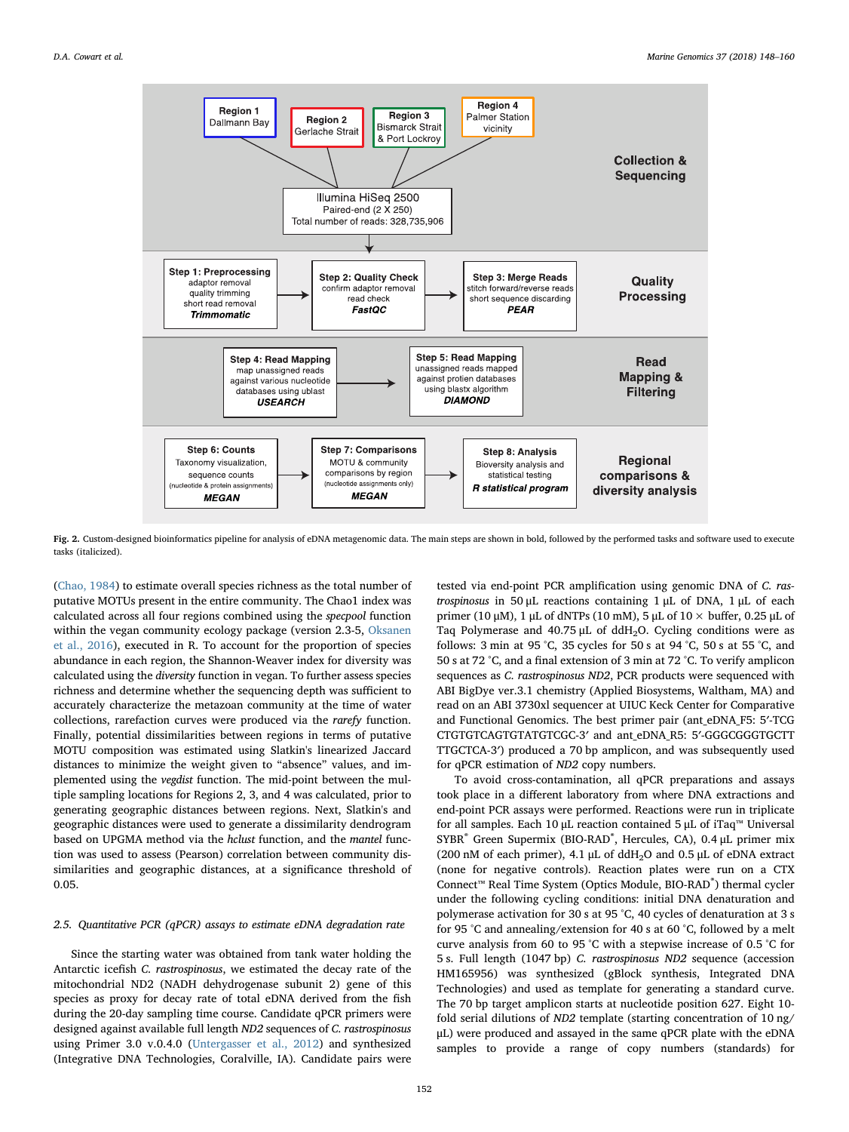<span id="page-4-0"></span>

Fig. 2. Custom-designed bioinformatics pipeline for analysis of eDNA metagenomic data. The main steps are shown in bold, followed by the performed tasks and software used to execute tasks (italicized).

([Chao, 1984\)](#page-10-16) to estimate overall species richness as the total number of putative MOTUs present in the entire community. The Chao1 index was calculated across all four regions combined using the specpool function within the vegan community ecology package (version 2.3-5, [Oksanen](#page-11-22) [et al., 2016](#page-11-22)), executed in R. To account for the proportion of species abundance in each region, the Shannon-Weaver index for diversity was calculated using the diversity function in vegan. To further assess species richness and determine whether the sequencing depth was sufficient to accurately characterize the metazoan community at the time of water collections, rarefaction curves were produced via the rarefy function. Finally, potential dissimilarities between regions in terms of putative MOTU composition was estimated using Slatkin's linearized Jaccard distances to minimize the weight given to "absence" values, and implemented using the vegdist function. The mid-point between the multiple sampling locations for Regions 2, 3, and 4 was calculated, prior to generating geographic distances between regions. Next, Slatkin's and geographic distances were used to generate a dissimilarity dendrogram based on UPGMA method via the hclust function, and the mantel function was used to assess (Pearson) correlation between community dissimilarities and geographic distances, at a significance threshold of 0.05.

## 2.5. Quantitative PCR (qPCR) assays to estimate eDNA degradation rate

Since the starting water was obtained from tank water holding the Antarctic icefish C. rastrospinosus, we estimated the decay rate of the mitochondrial ND2 (NADH dehydrogenase subunit 2) gene of this species as proxy for decay rate of total eDNA derived from the fish during the 20-day sampling time course. Candidate qPCR primers were designed against available full length ND2 sequences of C. rastrospinosus using Primer 3.0 v.0.4.0 ([Untergasser et al., 2012\)](#page-12-3) and synthesized (Integrative DNA Technologies, Coralville, IA). Candidate pairs were tested via end-point PCR amplification using genomic DNA of C. rastrospinosus in 50 μL reactions containing 1 μL of DNA, 1 μL of each primer (10 μM), 1 μL of dNTPs (10 mM), 5 μL of  $10 \times$  buffer, 0.25 μL of Taq Polymerase and  $40.75 \mu L$  of ddH<sub>2</sub>O. Cycling conditions were as follows: 3 min at 95 °C, 35 cycles for 50 s at 94 °C, 50 s at 55 °C, and 50 s at 72 °C, and a final extension of 3 min at 72 °C. To verify amplicon sequences as C. rastrospinosus ND2, PCR products were sequenced with ABI BigDye ver.3.1 chemistry (Applied Biosystems, Waltham, MA) and read on an ABI 3730xl sequencer at UIUC Keck Center for Comparative and Functional Genomics. The best primer pair (ant\_eDNA\_F5: 5′-TCG CTGTGTCAGTGTATGTCGC-3′ and ant\_eDNA\_R5: 5′-GGGCGGGTGCTT TTGCTCA-3′) produced a 70 bp amplicon, and was subsequently used for qPCR estimation of ND2 copy numbers.

To avoid cross-contamination, all qPCR preparations and assays took place in a different laboratory from where DNA extractions and end-point PCR assays were performed. Reactions were run in triplicate for all samples. Each 10 μL reaction contained 5 μL of iTaq™ Universal SYBR<sup>®</sup> Green Supermix (BIO-RAD<sup>®</sup>, Hercules, CA), 0.4 μL primer mix (200 nM of each primer), 4.1 μL of  $ddH<sub>2</sub>O$  and 0.5 μL of eDNA extract (none for negative controls). Reaction plates were run on a CTX Connect™ Real Time System (Optics Module, BIO-RAD® ) thermal cycler under the following cycling conditions: initial DNA denaturation and polymerase activation for 30 s at 95 °C, 40 cycles of denaturation at 3 s for 95 °C and annealing/extension for 40 s at 60 °C, followed by a melt curve analysis from 60 to 95 °C with a stepwise increase of 0.5 °C for 5 s. Full length (1047 bp) C. rastrospinosus ND2 sequence (accession HM165956) was synthesized (gBlock synthesis, Integrated DNA Technologies) and used as template for generating a standard curve. The 70 bp target amplicon starts at nucleotide position 627. Eight 10 fold serial dilutions of ND2 template (starting concentration of 10 ng/ μL) were produced and assayed in the same qPCR plate with the eDNA samples to provide a range of copy numbers (standards) for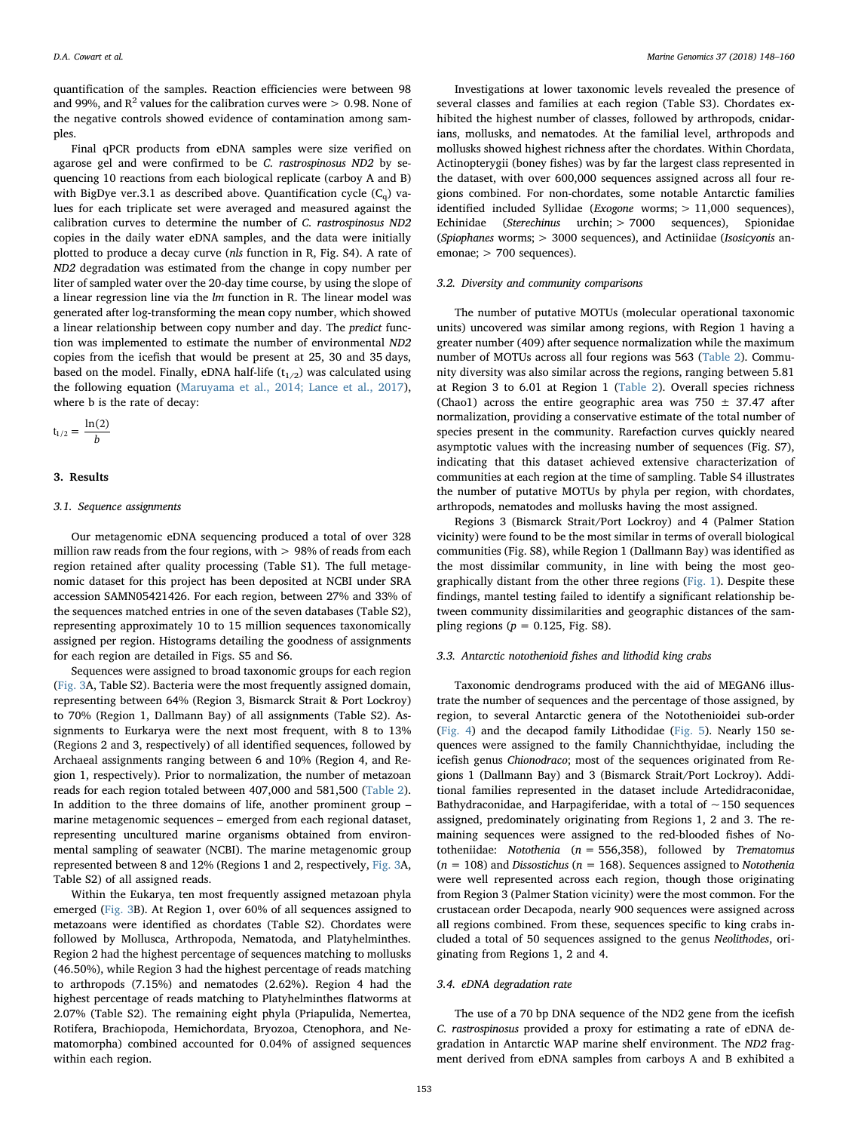quantification of the samples. Reaction efficiencies were between 98 and 99%, and  $R^2$  values for the calibration curves were  $> 0.98$ . None of the negative controls showed evidence of contamination among samples.

Final qPCR products from eDNA samples were size verified on agarose gel and were confirmed to be C. rastrospinosus ND2 by sequencing 10 reactions from each biological replicate (carboy A and B) with BigDye ver.3.1 as described above. Quantification cycle  $(C_q)$  values for each triplicate set were averaged and measured against the calibration curves to determine the number of C. rastrospinosus ND2 copies in the daily water eDNA samples, and the data were initially plotted to produce a decay curve (nls function in R, Fig. S4). A rate of ND2 degradation was estimated from the change in copy number per liter of sampled water over the 20-day time course, by using the slope of a linear regression line via the  $lm$  function in R. The linear model was generated after log-transforming the mean copy number, which showed a linear relationship between copy number and day. The predict function was implemented to estimate the number of environmental ND2 copies from the icefish that would be present at 25, 30 and 35 days, based on the model. Finally, eDNA half-life  $(t_{1/2})$  was calculated using the following equation ([Maruyama et al., 2014; Lance et al., 2017](#page-11-23)), where b is the rate of decay:

$$
t_{1/2} = \frac{\ln(2)}{b}
$$

#### 3. Results

#### 3.1. Sequence assignments

Our metagenomic eDNA sequencing produced a total of over 328 million raw reads from the four regions, with > 98% of reads from each region retained after quality processing (Table S1). The full metagenomic dataset for this project has been deposited at NCBI under SRA accession SAMN05421426. For each region, between 27% and 33% of the sequences matched entries in one of the seven databases (Table S2), representing approximately 10 to 15 million sequences taxonomically assigned per region. Histograms detailing the goodness of assignments for each region are detailed in Figs. S5 and S6.

Sequences were assigned to broad taxonomic groups for each region ([Fig. 3](#page-6-0)A, Table S2). Bacteria were the most frequently assigned domain, representing between 64% (Region 3, Bismarck Strait & Port Lockroy) to 70% (Region 1, Dallmann Bay) of all assignments (Table S2). Assignments to Eurkarya were the next most frequent, with 8 to 13% (Regions 2 and 3, respectively) of all identified sequences, followed by Archaeal assignments ranging between 6 and 10% (Region 4, and Region 1, respectively). Prior to normalization, the number of metazoan reads for each region totaled between 407,000 and 581,500 ([Table 2](#page-6-1)). In addition to the three domains of life, another prominent group – marine metagenomic sequences – emerged from each regional dataset, representing uncultured marine organisms obtained from environmental sampling of seawater (NCBI). The marine metagenomic group represented between 8 and 12% (Regions 1 and 2, respectively, [Fig. 3](#page-6-0)A, Table S2) of all assigned reads.

Within the Eukarya, ten most frequently assigned metazoan phyla emerged ([Fig. 3B](#page-6-0)). At Region 1, over 60% of all sequences assigned to metazoans were identified as chordates (Table S2). Chordates were followed by Mollusca, Arthropoda, Nematoda, and Platyhelminthes. Region 2 had the highest percentage of sequences matching to mollusks (46.50%), while Region 3 had the highest percentage of reads matching to arthropods (7.15%) and nematodes (2.62%). Region 4 had the highest percentage of reads matching to Platyhelminthes flatworms at 2.07% (Table S2). The remaining eight phyla (Priapulida, Nemertea, Rotifera, Brachiopoda, Hemichordata, Bryozoa, Ctenophora, and Nematomorpha) combined accounted for 0.04% of assigned sequences within each region.

Investigations at lower taxonomic levels revealed the presence of several classes and families at each region (Table S3). Chordates exhibited the highest number of classes, followed by arthropods, cnidarians, mollusks, and nematodes. At the familial level, arthropods and mollusks showed highest richness after the chordates. Within Chordata, Actinopterygii (boney fishes) was by far the largest class represented in the dataset, with over 600,000 sequences assigned across all four regions combined. For non-chordates, some notable Antarctic families identified included Syllidae (Exogone worms; > 11,000 sequences), Echinidae (Sterechinus urchin; > 7000 sequences), Spionidae (Spiophanes worms; > 3000 sequences), and Actiniidae (Isosicyonis anemonae: > 700 sequences).

## 3.2. Diversity and community comparisons

The number of putative MOTUs (molecular operational taxonomic units) uncovered was similar among regions, with Region 1 having a greater number (409) after sequence normalization while the maximum number of MOTUs across all four regions was 563 ([Table 2\)](#page-6-1). Community diversity was also similar across the regions, ranging between 5.81 at Region 3 to 6.01 at Region 1 [\(Table 2\)](#page-6-1). Overall species richness (Chao1) across the entire geographic area was 750  $\pm$  37.47 after normalization, providing a conservative estimate of the total number of species present in the community. Rarefaction curves quickly neared asymptotic values with the increasing number of sequences (Fig. S7), indicating that this dataset achieved extensive characterization of communities at each region at the time of sampling. Table S4 illustrates the number of putative MOTUs by phyla per region, with chordates, arthropods, nematodes and mollusks having the most assigned.

Regions 3 (Bismarck Strait/Port Lockroy) and 4 (Palmer Station vicinity) were found to be the most similar in terms of overall biological communities (Fig. S8), while Region 1 (Dallmann Bay) was identified as the most dissimilar community, in line with being the most geographically distant from the other three regions [\(Fig. 1\)](#page-2-1). Despite these findings, mantel testing failed to identify a significant relationship between community dissimilarities and geographic distances of the sampling regions ( $p = 0.125$ , Fig. S8).

### 3.3. Antarctic notothenioid fishes and lithodid king crabs

Taxonomic dendrograms produced with the aid of MEGAN6 illustrate the number of sequences and the percentage of those assigned, by region, to several Antarctic genera of the Notothenioidei sub-order ([Fig. 4\)](#page-7-0) and the decapod family Lithodidae [\(Fig. 5\)](#page-7-1). Nearly 150 sequences were assigned to the family Channichthyidae, including the icefish genus Chionodraco; most of the sequences originated from Regions 1 (Dallmann Bay) and 3 (Bismarck Strait/Port Lockroy). Additional families represented in the dataset include Artedidraconidae, Bathydraconidae, and Harpagiferidae, with a total of  $\sim$  150 sequences assigned, predominately originating from Regions 1, 2 and 3. The remaining sequences were assigned to the red-blooded fishes of Nototheniidae: Notothenia ( $n = 556,358$ ), followed by Trematomus ( $n = 108$ ) and *Dissostichus* ( $n = 168$ ). Sequences assigned to *Notothenia* were well represented across each region, though those originating from Region 3 (Palmer Station vicinity) were the most common. For the crustacean order Decapoda, nearly 900 sequences were assigned across all regions combined. From these, sequences specific to king crabs included a total of 50 sequences assigned to the genus Neolithodes, originating from Regions 1, 2 and 4.

#### 3.4. eDNA degradation rate

The use of a 70 bp DNA sequence of the ND2 gene from the icefish C. rastrospinosus provided a proxy for estimating a rate of eDNA degradation in Antarctic WAP marine shelf environment. The ND2 fragment derived from eDNA samples from carboys A and B exhibited a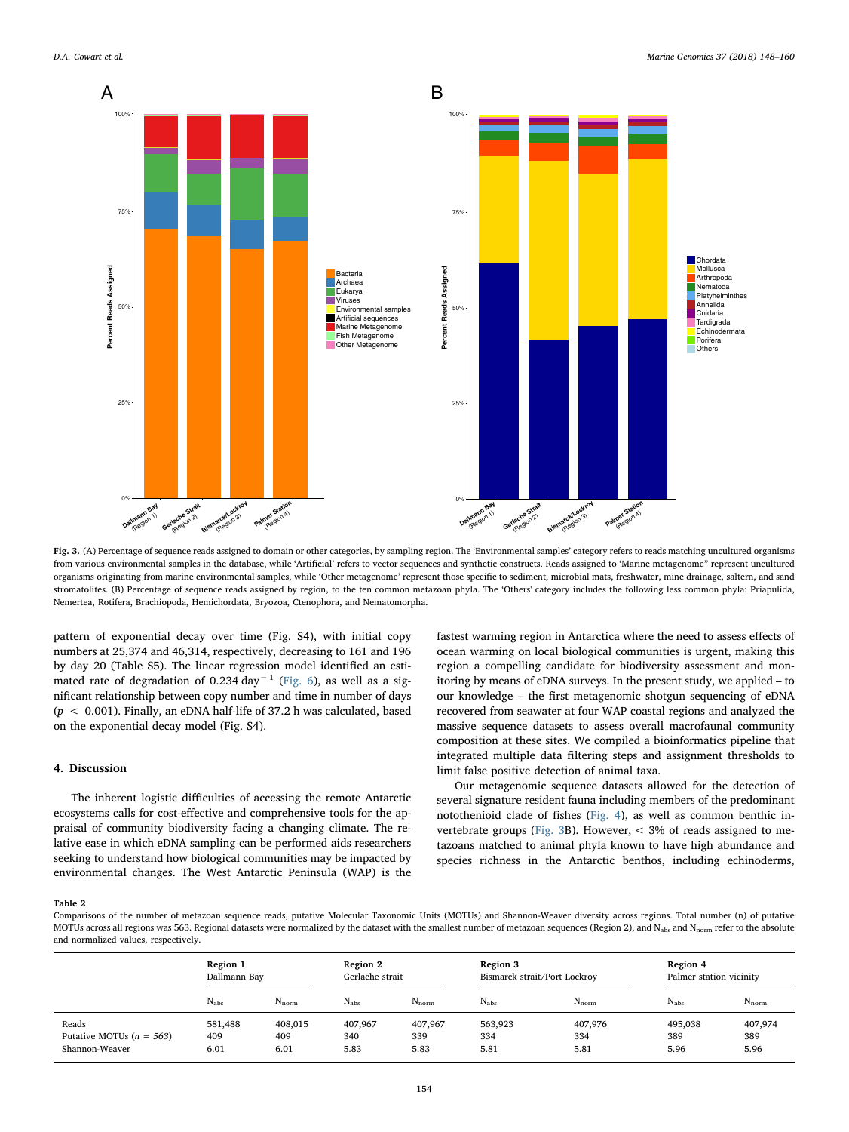<span id="page-6-0"></span>

Fig. 3. (A) Percentage of sequence reads assigned to domain or other categories, by sampling region. The 'Environmental samples' category refers to reads matching uncultured organisms from various environmental samples in the database, while 'Artificial' refers to vector sequences and synthetic constructs. Reads assigned to 'Marine metagenome" represent uncultured organisms originating from marine environmental samples, while 'Other metagenome' represent those specific to sediment, microbial mats, freshwater, mine drainage, saltern, and sand stromatolites. (B) Percentage of sequence reads assigned by region, to the ten common metazoan phyla. The 'Others' category includes the following less common phyla: Priapulida, Nemertea, Rotifera, Brachiopoda, Hemichordata, Bryozoa, Ctenophora, and Nematomorpha.

pattern of exponential decay over time (Fig. S4), with initial copy numbers at 25,374 and 46,314, respectively, decreasing to 161 and 196 by day 20 (Table S5). The linear regression model identified an esti-mated rate of degradation of 0.234 day<sup>-1</sup> ([Fig. 6](#page-7-2)), as well as a significant relationship between copy number and time in number of days  $(p < 0.001)$ . Finally, an eDNA half-life of 37.2 h was calculated, based on the exponential decay model (Fig. S4).

## 4. Discussion

The inherent logistic difficulties of accessing the remote Antarctic ecosystems calls for cost-effective and comprehensive tools for the appraisal of community biodiversity facing a changing climate. The relative ease in which eDNA sampling can be performed aids researchers seeking to understand how biological communities may be impacted by environmental changes. The West Antarctic Peninsula (WAP) is the

fastest warming region in Antarctica where the need to assess effects of ocean warming on local biological communities is urgent, making this region a compelling candidate for biodiversity assessment and monitoring by means of eDNA surveys. In the present study, we applied – to our knowledge – the first metagenomic shotgun sequencing of eDNA recovered from seawater at four WAP coastal regions and analyzed the massive sequence datasets to assess overall macrofaunal community composition at these sites. We compiled a bioinformatics pipeline that integrated multiple data filtering steps and assignment thresholds to limit false positive detection of animal taxa.

Our metagenomic sequence datasets allowed for the detection of several signature resident fauna including members of the predominant notothenioid clade of fishes [\(Fig. 4\)](#page-7-0), as well as common benthic in-vertebrate groups ([Fig. 3](#page-6-0)B). However,  $\lt$  3% of reads assigned to metazoans matched to animal phyla known to have high abundance and species richness in the Antarctic benthos, including echinoderms,

#### <span id="page-6-1"></span>Table 2

Comparisons of the number of metazoan sequence reads, putative Molecular Taxonomic Units (MOTUs) and Shannon-Weaver diversity across regions. Total number (n) of putative MOTUs across all regions was 563. Regional datasets were normalized by the dataset with the smallest number of metazoan sequences (Region 2), and N<sub>abs</sub> and N<sub>norm</sub> refer to the absolute and normalized values, respectively.

|                            | Region 1      |            | Region 2        |            | Region 3                     |            | Region 4                |            |
|----------------------------|---------------|------------|-----------------|------------|------------------------------|------------|-------------------------|------------|
|                            | Dallmann Bay  |            | Gerlache strait |            | Bismarck strait/Port Lockroy |            | Palmer station vicinity |            |
|                            | $N_{\rm abs}$ | $N_{norm}$ | $N_{\rm abs}$   | $N_{norm}$ | $N_{\rm abs}$                | $N_{norm}$ | $N_{\rm abs}$           | $N_{norm}$ |
| Reads                      | 581,488       | 408,015    | 407,967         | 407,967    | 563,923                      | 407,976    | 495,038                 | 407,974    |
| Putative MOTUs $(n = 563)$ | 409           | 409        | 340             | 339        | 334                          | 334        | 389                     | 389        |
| Shannon-Weaver             | 6.01          | 6.01       | 5.83            | 5.83       | 5.81                         | 5.81       | 5.96                    | 5.96       |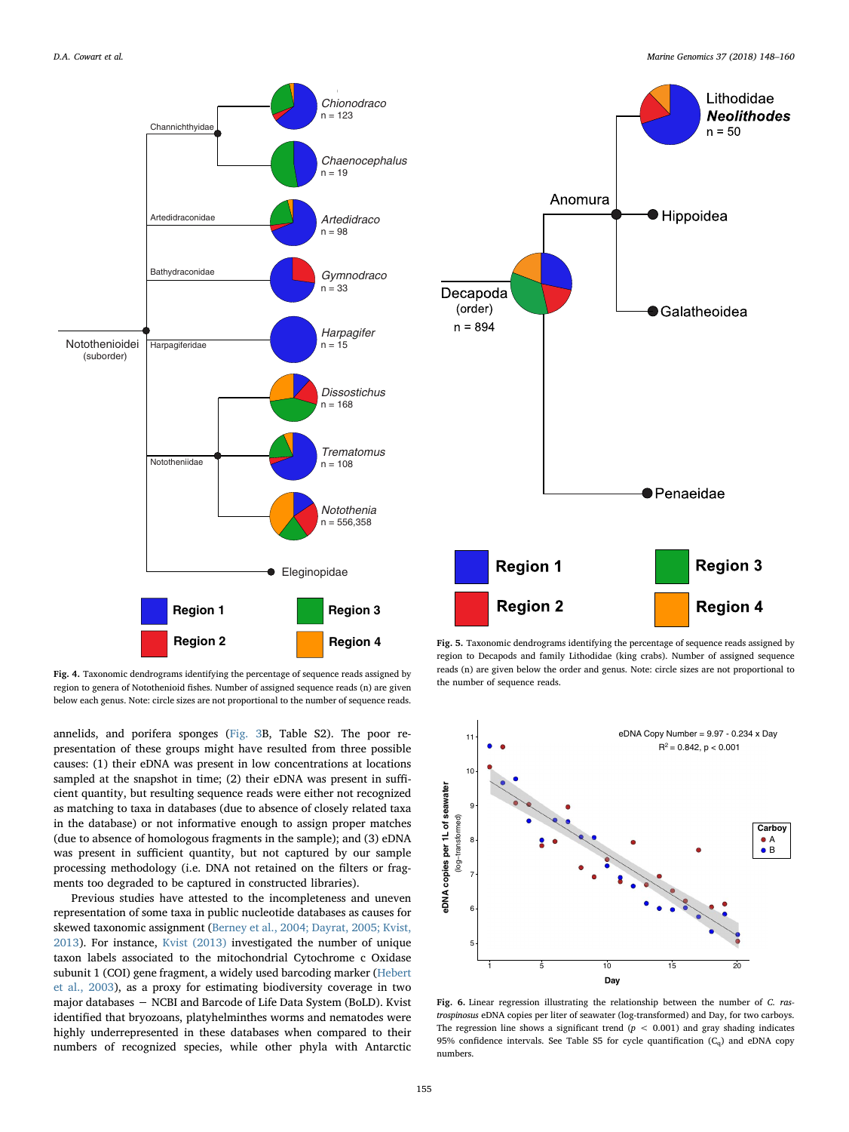<span id="page-7-0"></span>

Fig. 4. Taxonomic dendrograms identifying the percentage of sequence reads assigned by region to genera of Notothenioid fishes. Number of assigned sequence reads (n) are given below each genus. Note: circle sizes are not proportional to the number of sequence reads.

annelids, and porifera sponges [\(Fig. 3B](#page-6-0), Table S2). The poor representation of these groups might have resulted from three possible causes: (1) their eDNA was present in low concentrations at locations sampled at the snapshot in time; (2) their eDNA was present in sufficient quantity, but resulting sequence reads were either not recognized as matching to taxa in databases (due to absence of closely related taxa in the database) or not informative enough to assign proper matches (due to absence of homologous fragments in the sample); and (3) eDNA was present in sufficient quantity, but not captured by our sample processing methodology (i.e. DNA not retained on the filters or fragments too degraded to be captured in constructed libraries).

Previous studies have attested to the incompleteness and uneven representation of some taxa in public nucleotide databases as causes for skewed taxonomic assignment ([Berney et al., 2004; Dayrat, 2005; Kvist,](#page-10-17) [2013\)](#page-10-17). For instance, [Kvist \(2013\)](#page-11-24) investigated the number of unique taxon labels associated to the mitochondrial Cytochrome c Oxidase subunit 1 (COI) gene fragment, a widely used barcoding marker ([Hebert](#page-11-13) [et al., 2003](#page-11-13)), as a proxy for estimating biodiversity coverage in two major databases − NCBI and Barcode of Life Data System (BoLD). Kvist identified that bryozoans, platyhelminthes worms and nematodes were highly underrepresented in these databases when compared to their numbers of recognized species, while other phyla with Antarctic

<span id="page-7-1"></span>

Fig. 5. Taxonomic dendrograms identifying the percentage of sequence reads assigned by region to Decapods and family Lithodidae (king crabs). Number of assigned sequence reads (n) are given below the order and genus. Note: circle sizes are not proportional to the number of sequence reads.

<span id="page-7-2"></span>

Fig. 6. Linear regression illustrating the relationship between the number of C. rastrospinosus eDNA copies per liter of seawater (log-transformed) and Day, for two carboys. The regression line shows a significant trend  $(p < 0.001)$  and gray shading indicates 95% confidence intervals. See Table S5 for cycle quantification  $(C_q)$  and eDNA copy numbers.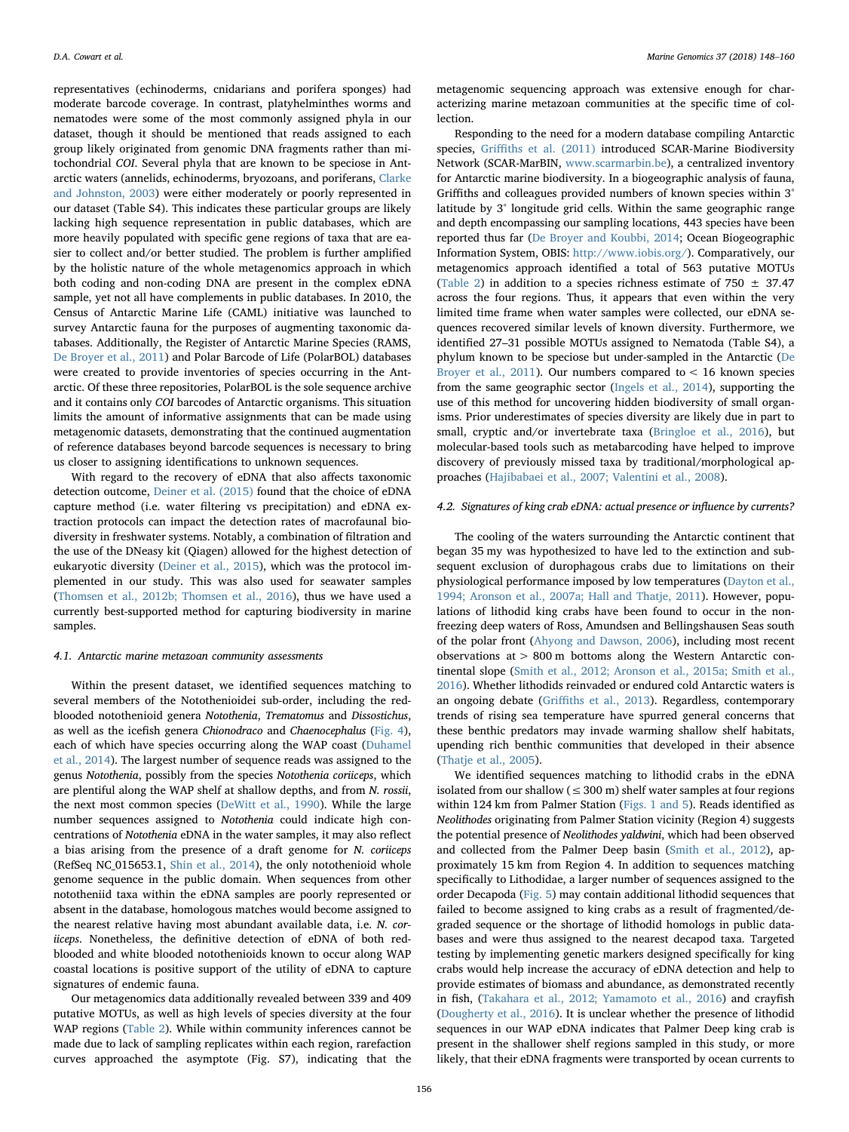representatives (echinoderms, cnidarians and porifera sponges) had moderate barcode coverage. In contrast, platyhelminthes worms and nematodes were some of the most commonly assigned phyla in our dataset, though it should be mentioned that reads assigned to each group likely originated from genomic DNA fragments rather than mitochondrial COI. Several phyla that are known to be speciose in Antarctic waters (annelids, echinoderms, bryozoans, and poriferans, [Clarke](#page-10-18) [and Johnston, 2003\)](#page-10-18) were either moderately or poorly represented in our dataset (Table S4). This indicates these particular groups are likely lacking high sequence representation in public databases, which are more heavily populated with specific gene regions of taxa that are easier to collect and/or better studied. The problem is further amplified by the holistic nature of the whole metagenomics approach in which both coding and non-coding DNA are present in the complex eDNA sample, yet not all have complements in public databases. In 2010, the Census of Antarctic Marine Life (CAML) initiative was launched to survey Antarctic fauna for the purposes of augmenting taxonomic databases. Additionally, the Register of Antarctic Marine Species (RAMS, [De Broyer et al., 2011\)](#page-10-19) and Polar Barcode of Life (PolarBOL) databases were created to provide inventories of species occurring in the Antarctic. Of these three repositories, PolarBOL is the sole sequence archive and it contains only COI barcodes of Antarctic organisms. This situation limits the amount of informative assignments that can be made using metagenomic datasets, demonstrating that the continued augmentation of reference databases beyond barcode sequences is necessary to bring us closer to assigning identifications to unknown sequences.

With regard to the recovery of eDNA that also affects taxonomic detection outcome, [Deiner et al. \(2015\)](#page-10-20) found that the choice of eDNA capture method (i.e. water filtering vs precipitation) and eDNA extraction protocols can impact the detection rates of macrofaunal biodiversity in freshwater systems. Notably, a combination of filtration and the use of the DNeasy kit (Qiagen) allowed for the highest detection of eukaryotic diversity [\(Deiner et al., 2015\)](#page-10-20), which was the protocol implemented in our study. This was also used for seawater samples ([Thomsen et al., 2012b; Thomsen et al., 2016](#page-11-18)), thus we have used a currently best-supported method for capturing biodiversity in marine samples.

### 4.1. Antarctic marine metazoan community assessments

Within the present dataset, we identified sequences matching to several members of the Notothenioidei sub-order, including the redblooded notothenioid genera Notothenia, Trematomus and Dissostichus, as well as the icefish genera Chionodraco and Chaenocephalus ([Fig. 4](#page-7-0)), each of which have species occurring along the WAP coast ([Duhamel](#page-11-15) [et al., 2014\)](#page-11-15). The largest number of sequence reads was assigned to the genus Notothenia, possibly from the species Notothenia coriiceps, which are plentiful along the WAP shelf at shallow depths, and from N. rossii, the next most common species ([DeWitt et al., 1990\)](#page-11-2). While the large number sequences assigned to Notothenia could indicate high concentrations of Notothenia eDNA in the water samples, it may also reflect a bias arising from the presence of a draft genome for N. coriiceps (RefSeq NC\_015653.1, [Shin et al., 2014\)](#page-11-25), the only notothenioid whole genome sequence in the public domain. When sequences from other nototheniid taxa within the eDNA samples are poorly represented or absent in the database, homologous matches would become assigned to the nearest relative having most abundant available data, i.e. N. coriiceps. Nonetheless, the definitive detection of eDNA of both redblooded and white blooded notothenioids known to occur along WAP coastal locations is positive support of the utility of eDNA to capture signatures of endemic fauna.

Our metagenomics data additionally revealed between 339 and 409 putative MOTUs, as well as high levels of species diversity at the four WAP regions [\(Table 2\)](#page-6-1). While within community inferences cannot be made due to lack of sampling replicates within each region, rarefaction curves approached the asymptote (Fig. S7), indicating that the metagenomic sequencing approach was extensive enough for characterizing marine metazoan communities at the specific time of col**lection** 

Responding to the need for a modern database compiling Antarctic species, Griffi[ths et al. \(2011\)](#page-11-26) introduced SCAR-Marine Biodiversity Network (SCAR-MarBIN, [www.scarmarbin.be\)](http://www.scarmarbin.be), a centralized inventory for Antarctic marine biodiversity. In a biogeographic analysis of fauna, Griffiths and colleagues provided numbers of known species within 3° latitude by 3° longitude grid cells. Within the same geographic range and depth encompassing our sampling locations, 443 species have been reported thus far [\(De Broyer and Koubbi, 2014;](#page-10-3) Ocean Biogeographic Information System, OBIS: <http://www.iobis.org/>). Comparatively, our metagenomics approach identified a total of 563 putative MOTUs ([Table 2](#page-6-1)) in addition to a species richness estimate of  $750 \pm 37.47$ across the four regions. Thus, it appears that even within the very limited time frame when water samples were collected, our eDNA sequences recovered similar levels of known diversity. Furthermore, we identified 27–31 possible MOTUs assigned to Nematoda (Table S4), a phylum known to be speciose but under-sampled in the Antarctic [\(De](#page-10-19) [Broyer et al., 2011](#page-10-19)). Our numbers compared to  $< 16$  known species from the same geographic sector [\(Ingels et al., 2014](#page-11-27)), supporting the use of this method for uncovering hidden biodiversity of small organisms. Prior underestimates of species diversity are likely due in part to small, cryptic and/or invertebrate taxa ([Bringloe et al., 2016](#page-10-21)), but molecular-based tools such as metabarcoding have helped to improve discovery of previously missed taxa by traditional/morphological approaches ([Hajibabaei et al., 2007; Valentini et al., 2008\)](#page-11-28).

### 4.2. Signatures of king crab eDNA: actual presence or influence by currents?

The cooling of the waters surrounding the Antarctic continent that began 35 my was hypothesized to have led to the extinction and subsequent exclusion of durophagous crabs due to limitations on their physiological performance imposed by low temperatures ([Dayton et al.,](#page-10-4) [1994; Aronson et al., 2007a; Hall and Thatje, 2011](#page-10-4)). However, populations of lithodid king crabs have been found to occur in the nonfreezing deep waters of Ross, Amundsen and Bellingshausen Seas south of the polar front ([Ahyong and Dawson, 2006\)](#page-10-22), including most recent observations at > 800 m bottoms along the Western Antarctic continental slope (Smith [et al., 2012; Aronson et al., 2015a; Smith et al.,](#page-11-6) [2016\)](#page-11-6). Whether lithodids reinvaded or endured cold Antarctic waters is an ongoing debate (Griffi[ths et al., 2013](#page-11-8)). Regardless, contemporary trends of rising sea temperature have spurred general concerns that these benthic predators may invade warming shallow shelf habitats, upending rich benthic communities that developed in their absence ([Thatje et al., 2005](#page-11-29)).

We identified sequences matching to lithodid crabs in the eDNA isolated from our shallow ( $\leq$  300 m) shelf water samples at four regions within 124 km from Palmer Station ([Figs. 1 and 5](#page-2-1)). Reads identified as Neolithodes originating from Palmer Station vicinity (Region 4) suggests the potential presence of Neolithodes yaldwini, which had been observed and collected from the Palmer Deep basin [\(Smith et al., 2012\)](#page-11-6), approximately 15 km from Region 4. In addition to sequences matching specifically to Lithodidae, a larger number of sequences assigned to the order Decapoda [\(Fig. 5](#page-7-1)) may contain additional lithodid sequences that failed to become assigned to king crabs as a result of fragmented/degraded sequence or the shortage of lithodid homologs in public databases and were thus assigned to the nearest decapod taxa. Targeted testing by implementing genetic markers designed specifically for king crabs would help increase the accuracy of eDNA detection and help to provide estimates of biomass and abundance, as demonstrated recently in fish, [\(Takahara et al., 2012; Yamamoto et al., 2016\)](#page-11-30) and crayfish ([Dougherty et al., 2016\)](#page-11-31). It is unclear whether the presence of lithodid sequences in our WAP eDNA indicates that Palmer Deep king crab is present in the shallower shelf regions sampled in this study, or more likely, that their eDNA fragments were transported by ocean currents to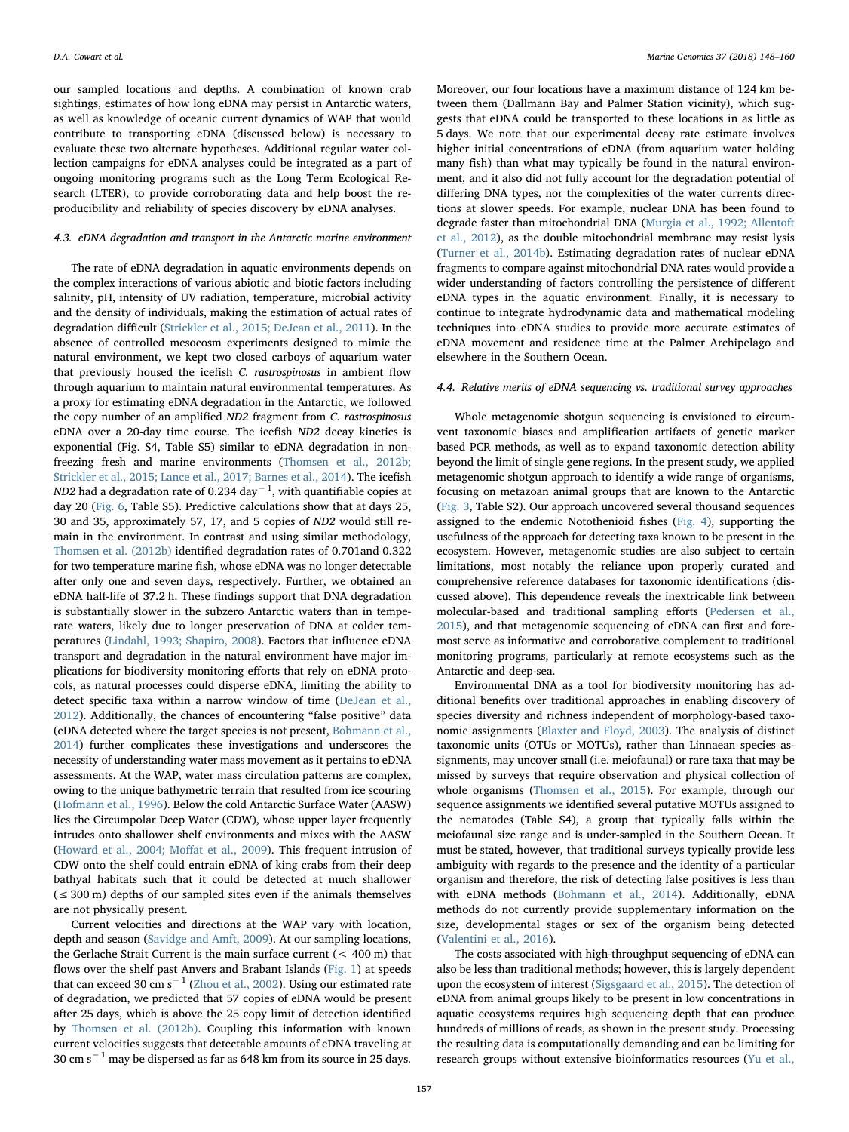our sampled locations and depths. A combination of known crab sightings, estimates of how long eDNA may persist in Antarctic waters, as well as knowledge of oceanic current dynamics of WAP that would contribute to transporting eDNA (discussed below) is necessary to evaluate these two alternate hypotheses. Additional regular water collection campaigns for eDNA analyses could be integrated as a part of ongoing monitoring programs such as the Long Term Ecological Research (LTER), to provide corroborating data and help boost the reproducibility and reliability of species discovery by eDNA analyses.

## 4.3. eDNA degradation and transport in the Antarctic marine environment

The rate of eDNA degradation in aquatic environments depends on the complex interactions of various abiotic and biotic factors including salinity, pH, intensity of UV radiation, temperature, microbial activity and the density of individuals, making the estimation of actual rates of degradation difficult [\(Strickler et al., 2015; DeJean et al., 2011](#page-11-32)). In the absence of controlled mesocosm experiments designed to mimic the natural environment, we kept two closed carboys of aquarium water that previously housed the icefish C. rastrospinosus in ambient flow through aquarium to maintain natural environmental temperatures. As a proxy for estimating eDNA degradation in the Antarctic, we followed the copy number of an amplified ND2 fragment from C. rastrospinosus eDNA over a 20-day time course. The icefish ND2 decay kinetics is exponential (Fig. S4, Table S5) similar to eDNA degradation in nonfreezing fresh and marine environments ([Thomsen et al., 2012b;](#page-11-18) [Strickler et al., 2015; Lance et al., 2017; Barnes et al., 2014](#page-11-18)). The icefish *ND2* had a degradation rate of 0.234 day $^{-1}$ , with quantifiable copies at day 20 [\(Fig. 6](#page-7-2), Table S5). Predictive calculations show that at days 25, 30 and 35, approximately 57, 17, and 5 copies of ND2 would still remain in the environment. In contrast and using similar methodology, [Thomsen et al. \(2012b\)](#page-11-18) identified degradation rates of 0.701and 0.322 for two temperature marine fish, whose eDNA was no longer detectable after only one and seven days, respectively. Further, we obtained an eDNA half-life of 37.2 h. These findings support that DNA degradation is substantially slower in the subzero Antarctic waters than in temperate waters, likely due to longer preservation of DNA at colder temperatures [\(Lindahl, 1993; Shapiro, 2008](#page-11-16)). Factors that influence eDNA transport and degradation in the natural environment have major implications for biodiversity monitoring efforts that rely on eDNA protocols, as natural processes could disperse eDNA, limiting the ability to detect specific taxa within a narrow window of time [\(DeJean et al.,](#page-10-23) [2012\)](#page-10-23). Additionally, the chances of encountering "false positive" data (eDNA detected where the target species is not present, [Bohmann et al.,](#page-10-8) [2014\)](#page-10-8) further complicates these investigations and underscores the necessity of understanding water mass movement as it pertains to eDNA assessments. At the WAP, water mass circulation patterns are complex, owing to the unique bathymetric terrain that resulted from ice scouring ([Hofmann et al., 1996](#page-11-33)). Below the cold Antarctic Surface Water (AASW) lies the Circumpolar Deep Water (CDW), whose upper layer frequently intrudes onto shallower shelf environments and mixes with the AASW ([Howard et al., 2004; Mo](#page-11-34)ffat et al., 2009). This frequent intrusion of CDW onto the shelf could entrain eDNA of king crabs from their deep bathyal habitats such that it could be detected at much shallower (≤300 m) depths of our sampled sites even if the animals themselves are not physically present.

Current velocities and directions at the WAP vary with location, depth and season ([Savidge and Amft, 2009\)](#page-11-35). At our sampling locations, the Gerlache Strait Current is the main surface current (< 400 m) that flows over the shelf past Anvers and Brabant Islands [\(Fig. 1\)](#page-2-1) at speeds that can exceed 30 cm s<sup> $-1$ </sup> ([Zhou et al., 2002](#page-12-4)). Using our estimated rate of degradation, we predicted that 57 copies of eDNA would be present after 25 days, which is above the 25 copy limit of detection identified by [Thomsen et al. \(2012b\).](#page-11-18) Coupling this information with known current velocities suggests that detectable amounts of eDNA traveling at 30 cm s−<sup>1</sup> may be dispersed as far as 648 km from its source in 25 days.

Moreover, our four locations have a maximum distance of 124 km between them (Dallmann Bay and Palmer Station vicinity), which suggests that eDNA could be transported to these locations in as little as 5 days. We note that our experimental decay rate estimate involves higher initial concentrations of eDNA (from aquarium water holding many fish) than what may typically be found in the natural environment, and it also did not fully account for the degradation potential of differing DNA types, nor the complexities of the water currents directions at slower speeds. For example, nuclear DNA has been found to degrade faster than mitochondrial DNA [\(Murgia et al., 1992; Allentoft](#page-11-36) [et al., 2012](#page-11-36)), as the double mitochondrial membrane may resist lysis ([Turner et al., 2014b\)](#page-11-37). Estimating degradation rates of nuclear eDNA fragments to compare against mitochondrial DNA rates would provide a wider understanding of factors controlling the persistence of different eDNA types in the aquatic environment. Finally, it is necessary to continue to integrate hydrodynamic data and mathematical modeling techniques into eDNA studies to provide more accurate estimates of eDNA movement and residence time at the Palmer Archipelago and elsewhere in the Southern Ocean.

#### 4.4. Relative merits of eDNA sequencing vs. traditional survey approaches

Whole metagenomic shotgun sequencing is envisioned to circumvent taxonomic biases and amplification artifacts of genetic marker based PCR methods, as well as to expand taxonomic detection ability beyond the limit of single gene regions. In the present study, we applied metagenomic shotgun approach to identify a wide range of organisms, focusing on metazoan animal groups that are known to the Antarctic ([Fig. 3](#page-6-0), Table S2). Our approach uncovered several thousand sequences assigned to the endemic Notothenioid fishes [\(Fig. 4](#page-7-0)), supporting the usefulness of the approach for detecting taxa known to be present in the ecosystem. However, metagenomic studies are also subject to certain limitations, most notably the reliance upon properly curated and comprehensive reference databases for taxonomic identifications (discussed above). This dependence reveals the inextricable link between molecular-based and traditional sampling efforts [\(Pedersen et al.,](#page-11-38) [2015\)](#page-11-38), and that metagenomic sequencing of eDNA can first and foremost serve as informative and corroborative complement to traditional monitoring programs, particularly at remote ecosystems such as the Antarctic and deep-sea.

Environmental DNA as a tool for biodiversity monitoring has additional benefits over traditional approaches in enabling discovery of species diversity and richness independent of morphology-based taxonomic assignments ([Blaxter and Floyd, 2003](#page-10-15)). The analysis of distinct taxonomic units (OTUs or MOTUs), rather than Linnaean species assignments, may uncover small (i.e. meiofaunal) or rare taxa that may be missed by surveys that require observation and physical collection of whole organisms [\(Thomsen et al., 2015](#page-11-11)). For example, through our sequence assignments we identified several putative MOTUs assigned to the nematodes (Table S4), a group that typically falls within the meiofaunal size range and is under-sampled in the Southern Ocean. It must be stated, however, that traditional surveys typically provide less ambiguity with regards to the presence and the identity of a particular organism and therefore, the risk of detecting false positives is less than with eDNA methods [\(Bohmann et al., 2014\)](#page-10-8). Additionally, eDNA methods do not currently provide supplementary information on the size, developmental stages or sex of the organism being detected ([Valentini et al., 2016](#page-12-5)).

The costs associated with high-throughput sequencing of eDNA can also be less than traditional methods; however, this is largely dependent upon the ecosystem of interest [\(Sigsgaard et al., 2015](#page-11-39)). The detection of eDNA from animal groups likely to be present in low concentrations in aquatic ecosystems requires high sequencing depth that can produce hundreds of millions of reads, as shown in the present study. Processing the resulting data is computationally demanding and can be limiting for research groups without extensive bioinformatics resources ([Yu et al.,](#page-12-6)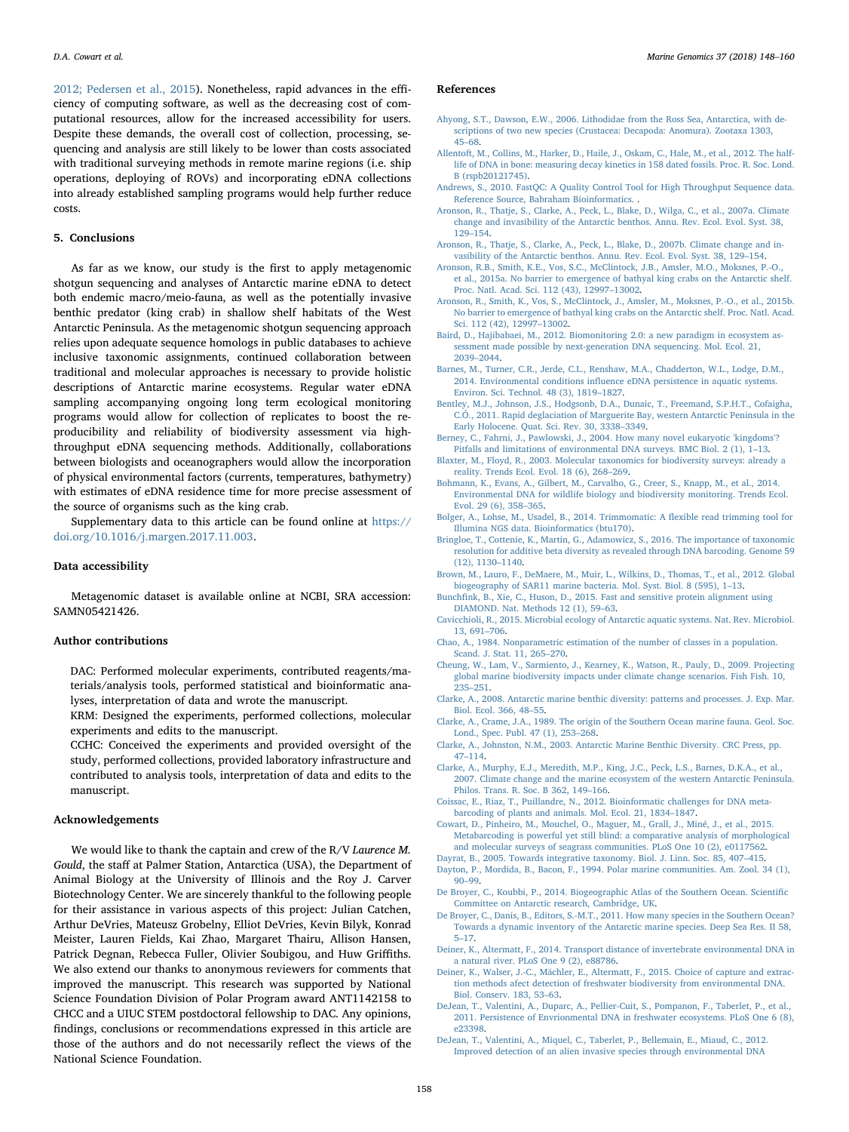[2012; Pedersen et al., 2015](#page-12-6)). Nonetheless, rapid advances in the efficiency of computing software, as well as the decreasing cost of computational resources, allow for the increased accessibility for users. Despite these demands, the overall cost of collection, processing, sequencing and analysis are still likely to be lower than costs associated with traditional surveying methods in remote marine regions (i.e. ship operations, deploying of ROVs) and incorporating eDNA collections into already established sampling programs would help further reduce costs.

## 5. Conclusions

As far as we know, our study is the first to apply metagenomic shotgun sequencing and analyses of Antarctic marine eDNA to detect both endemic macro/meio-fauna, as well as the potentially invasive benthic predator (king crab) in shallow shelf habitats of the West Antarctic Peninsula. As the metagenomic shotgun sequencing approach relies upon adequate sequence homologs in public databases to achieve inclusive taxonomic assignments, continued collaboration between traditional and molecular approaches is necessary to provide holistic descriptions of Antarctic marine ecosystems. Regular water eDNA sampling accompanying ongoing long term ecological monitoring programs would allow for collection of replicates to boost the reproducibility and reliability of biodiversity assessment via highthroughput eDNA sequencing methods. Additionally, collaborations between biologists and oceanographers would allow the incorporation of physical environmental factors (currents, temperatures, bathymetry) with estimates of eDNA residence time for more precise assessment of the source of organisms such as the king crab.

Supplementary data to this article can be found online at [https://](https://doi.org/10.1016/j.margen.2017.11.003) [doi.org/10.1016/j.margen.2017.11.003.](https://doi.org/10.1016/j.margen.2017.11.003)

## Data accessibility

Metagenomic dataset is available online at NCBI, SRA accession: SAMN05421426.

### Author contributions

DAC: Performed molecular experiments, contributed reagents/materials/analysis tools, performed statistical and bioinformatic analyses, interpretation of data and wrote the manuscript.

KRM: Designed the experiments, performed collections, molecular experiments and edits to the manuscript.

CCHC: Conceived the experiments and provided oversight of the study, performed collections, provided laboratory infrastructure and contributed to analysis tools, interpretation of data and edits to the manuscript.

#### Acknowledgements

We would like to thank the captain and crew of the R/V Laurence M. Gould, the staff at Palmer Station, Antarctica (USA), the Department of Animal Biology at the University of Illinois and the Roy J. Carver Biotechnology Center. We are sincerely thankful to the following people for their assistance in various aspects of this project: Julian Catchen, Arthur DeVries, Mateusz Grobelny, Elliot DeVries, Kevin Bilyk, Konrad Meister, Lauren Fields, Kai Zhao, Margaret Thairu, Allison Hansen, Patrick Degnan, Rebecca Fuller, Olivier Soubigou, and Huw Griffiths. We also extend our thanks to anonymous reviewers for comments that improved the manuscript. This research was supported by National Science Foundation Division of Polar Program award ANT1142158 to CHCC and a UIUC STEM postdoctoral fellowship to DAC. Any opinions, findings, conclusions or recommendations expressed in this article are those of the authors and do not necessarily reflect the views of the National Science Foundation.

#### References

- <span id="page-10-22"></span>[Ahyong, S.T., Dawson, E.W., 2006. Lithodidae from the Ross Sea, Antarctica, with de](http://refhub.elsevier.com/S1874-7787(17)30258-1/rf0005)[scriptions of two new species \(Crustacea: Decapoda: Anomura\). Zootaxa 1303,](http://refhub.elsevier.com/S1874-7787(17)30258-1/rf0005) 45–[68](http://refhub.elsevier.com/S1874-7787(17)30258-1/rf0005).
- [Allentoft, M., Collins, M., Harker, D., Haile, J., Oskam, C., Hale, M., et al., 2012. The half](http://refhub.elsevier.com/S1874-7787(17)30258-1/rf0010)[life of DNA in bone: measuring decay kinetics in 158 dated fossils. Proc. R. Soc. Lond.](http://refhub.elsevier.com/S1874-7787(17)30258-1/rf0010) [B \(rspb20121745\)](http://refhub.elsevier.com/S1874-7787(17)30258-1/rf0010).
- <span id="page-10-13"></span>[Andrews, S., 2010. FastQC: A Quality Control Tool for High Throughput Sequence data.](http://refhub.elsevier.com/S1874-7787(17)30258-1/rf0015) [Reference Source, Babraham Bioinformatics.](http://refhub.elsevier.com/S1874-7787(17)30258-1/rf0015) .
- [Aronson, R., Thatje, S., Clarke, A., Peck, L., Blake, D., Wilga, C., et al., 2007a. Climate](http://refhub.elsevier.com/S1874-7787(17)30258-1/rf0020) [change and invasibility of the Antarctic benthos. Annu. Rev. Ecol. Evol. Syst. 38,](http://refhub.elsevier.com/S1874-7787(17)30258-1/rf0020) 129–[154](http://refhub.elsevier.com/S1874-7787(17)30258-1/rf0020).
- <span id="page-10-5"></span>[Aronson, R., Thatje, S., Clarke, A., Peck, L., Blake, D., 2007b. Climate change and in](http://refhub.elsevier.com/S1874-7787(17)30258-1/rf0025)[vasibility of the Antarctic benthos. Annu. Rev. Ecol. Evol. Syst. 38, 129](http://refhub.elsevier.com/S1874-7787(17)30258-1/rf0025)–154.
- [Aronson, R.B., Smith, K.E., Vos, S.C., McClintock, J.B., Amsler, M.O., Moksnes, P.-O.,](http://refhub.elsevier.com/S1874-7787(17)30258-1/rf0030) [et al., 2015a. No barrier to emergence of bathyal king crabs on the Antarctic shelf.](http://refhub.elsevier.com/S1874-7787(17)30258-1/rf0030) [Proc. Natl. Acad. Sci. 112 \(43\), 12997](http://refhub.elsevier.com/S1874-7787(17)30258-1/rf0030)–13002.
- <span id="page-10-6"></span>[Aronson, R., Smith, K., Vos, S., McClintock, J., Amsler, M., Moksnes, P.-O., et al., 2015b.](http://refhub.elsevier.com/S1874-7787(17)30258-1/rf0035) [No barrier to emergence of bathyal king crabs on the Antarctic shelf. Proc. Natl. Acad.](http://refhub.elsevier.com/S1874-7787(17)30258-1/rf0035) [Sci. 112 \(42\), 12997](http://refhub.elsevier.com/S1874-7787(17)30258-1/rf0035)–13002.
- <span id="page-10-7"></span>[Baird, D., Hajibabaei, M., 2012. Biomonitoring 2.0: a new paradigm in ecosystem as](http://refhub.elsevier.com/S1874-7787(17)30258-1/rf0040)[sessment made possible by next-generation DNA sequencing. Mol. Ecol. 21,](http://refhub.elsevier.com/S1874-7787(17)30258-1/rf0040) 2039–[2044](http://refhub.elsevier.com/S1874-7787(17)30258-1/rf0040).
- [Barnes, M., Turner, C.R., Jerde, C.L., Renshaw, M.A., Chadderton, W.L., Lodge, D.M.,](http://refhub.elsevier.com/S1874-7787(17)30258-1/rf0045) 2014. Environmental conditions infl[uence eDNA persistence in aquatic systems.](http://refhub.elsevier.com/S1874-7787(17)30258-1/rf0045) [Environ. Sci. Technol. 48 \(3\), 1819](http://refhub.elsevier.com/S1874-7787(17)30258-1/rf0045)–1827.
- [Bentley, M.J., Johnson, J.S., Hodgsonb, D.A., Dunaic, T., Freemand, S.P.H.T., Cofaigha,](http://refhub.elsevier.com/S1874-7787(17)30258-1/rf0050) [C.Ó., 2011. Rapid deglaciation of Marguerite Bay, western Antarctic Peninsula in the](http://refhub.elsevier.com/S1874-7787(17)30258-1/rf0050) [Early Holocene. Quat. Sci. Rev. 30, 3338](http://refhub.elsevier.com/S1874-7787(17)30258-1/rf0050)–3349.
- <span id="page-10-17"></span>[Berney, C., Fahrni, J., Pawlowski, J., 2004. How many novel eukaryotic 'kingdoms'?](http://refhub.elsevier.com/S1874-7787(17)30258-1/rf0055) [Pitfalls and limitations of environmental DNA surveys. BMC Biol. 2 \(1\), 1](http://refhub.elsevier.com/S1874-7787(17)30258-1/rf0055)–13.
- <span id="page-10-15"></span>[Blaxter, M., Floyd, R., 2003. Molecular taxonomics for biodiversity surveys: already a](http://refhub.elsevier.com/S1874-7787(17)30258-1/rf0060) [reality. Trends Ecol. Evol. 18 \(6\), 268](http://refhub.elsevier.com/S1874-7787(17)30258-1/rf0060)–269.
- <span id="page-10-8"></span>[Bohmann, K., Evans, A., Gilbert, M., Carvalho, G., Creer, S., Knapp, M., et al., 2014.](http://refhub.elsevier.com/S1874-7787(17)30258-1/rf0065) [Environmental DNA for wildlife biology and biodiversity monitoring. Trends Ecol.](http://refhub.elsevier.com/S1874-7787(17)30258-1/rf0065) [Evol. 29 \(6\), 358](http://refhub.elsevier.com/S1874-7787(17)30258-1/rf0065)–365.
- <span id="page-10-12"></span>[Bolger, A., Lohse, M., Usadel, B., 2014. Trimmomatic: A](http://refhub.elsevier.com/S1874-7787(17)30258-1/rf0070) flexible read trimming tool for [Illumina NGS data. Bioinformatics \(btu170\)](http://refhub.elsevier.com/S1874-7787(17)30258-1/rf0070).
- <span id="page-10-21"></span>[Bringloe, T., Cottenie, K., Martin, G., Adamowicz, S., 2016. The importance of taxonomic](http://refhub.elsevier.com/S1874-7787(17)30258-1/rf0075) [resolution for additive beta diversity as revealed through DNA barcoding. Genome 59](http://refhub.elsevier.com/S1874-7787(17)30258-1/rf0075) [\(12\), 1130](http://refhub.elsevier.com/S1874-7787(17)30258-1/rf0075)–1140.
- <span id="page-10-10"></span>[Brown, M., Lauro, F., DeMaere, M., Muir, L., Wilkins, D., Thomas, T., et al., 2012. Global](http://refhub.elsevier.com/S1874-7787(17)30258-1/rf0080) [biogeography of SAR11 marine bacteria. Mol. Syst. Biol. 8 \(595\), 1](http://refhub.elsevier.com/S1874-7787(17)30258-1/rf0080)–13.
- <span id="page-10-14"></span>Bunchfi[nk, B., Xie, C., Huson, D., 2015. Fast and sensitive protein alignment using](http://refhub.elsevier.com/S1874-7787(17)30258-1/rf0085) [DIAMOND. Nat. Methods 12 \(1\), 59](http://refhub.elsevier.com/S1874-7787(17)30258-1/rf0085)–63.
- [Cavicchioli, R., 2015. Microbial ecology of Antarctic aquatic systems. Nat. Rev. Microbiol.](http://refhub.elsevier.com/S1874-7787(17)30258-1/rf0090) [13, 691](http://refhub.elsevier.com/S1874-7787(17)30258-1/rf0090)–706.
- <span id="page-10-16"></span>[Chao, A., 1984. Nonparametric estimation of the number of classes in a population.](http://refhub.elsevier.com/S1874-7787(17)30258-1/rf0095) [Scand. J. Stat. 11, 265](http://refhub.elsevier.com/S1874-7787(17)30258-1/rf0095)–270.
- Cheung, [W., Lam, V., Sarmiento, J., Kearney, K., Watson, R., Pauly, D., 2009. Projecting](http://refhub.elsevier.com/S1874-7787(17)30258-1/rf0100) [global marine biodiversity impacts under climate change scenarios. Fish Fish. 10,](http://refhub.elsevier.com/S1874-7787(17)30258-1/rf0100) 235–[251](http://refhub.elsevier.com/S1874-7787(17)30258-1/rf0100).
- <span id="page-10-2"></span>[Clarke, A., 2008. Antarctic marine benthic diversity: patterns and processes. J. Exp. Mar.](http://refhub.elsevier.com/S1874-7787(17)30258-1/rf0105) [Biol. Ecol. 366, 48](http://refhub.elsevier.com/S1874-7787(17)30258-1/rf0105)–55.
- <span id="page-10-0"></span>[Clarke, A., Crame, J.A., 1989. The origin of the Southern Ocean marine fauna. Geol. Soc.](http://refhub.elsevier.com/S1874-7787(17)30258-1/rf0110) [Lond., Spec. Publ. 47 \(1\), 253](http://refhub.elsevier.com/S1874-7787(17)30258-1/rf0110)–268.
- <span id="page-10-18"></span>[Clarke, A., Johnston, N.M., 2003. Antarctic Marine Benthic Diversity. CRC Press, pp.](http://refhub.elsevier.com/S1874-7787(17)30258-1/rf0115) 47–[114.](http://refhub.elsevier.com/S1874-7787(17)30258-1/rf0115)
- <span id="page-10-1"></span>[Clarke, A., Murphy, E.J., Meredith, M.P., King, J.C., Peck, L.S., Barnes, D.K.A., et al.,](http://refhub.elsevier.com/S1874-7787(17)30258-1/rf0120) [2007. Climate change and the marine ecosystem of the western Antarctic Peninsula.](http://refhub.elsevier.com/S1874-7787(17)30258-1/rf0120) [Philos. Trans. R. Soc. B 362, 149](http://refhub.elsevier.com/S1874-7787(17)30258-1/rf0120)–166.
- <span id="page-10-9"></span>[Coissac, E., Riaz, T., Puillandre, N., 2012. Bioinformatic challenges for DNA meta](http://refhub.elsevier.com/S1874-7787(17)30258-1/rf0125)[barcoding of plants and animals. Mol. Ecol. 21, 1834](http://refhub.elsevier.com/S1874-7787(17)30258-1/rf0125)–1847.
- [Cowart, D., Pinheiro, M., Mouchel, O., Maguer, M., Grall, J., Miné, J., et al., 2015.](http://refhub.elsevier.com/S1874-7787(17)30258-1/rf0130) [Metabarcoding is powerful yet still blind: a comparative analysis of morphological](http://refhub.elsevier.com/S1874-7787(17)30258-1/rf0130) [and molecular surveys of seagrass communities. PLoS One 10 \(2\), e0117562.](http://refhub.elsevier.com/S1874-7787(17)30258-1/rf0130)
- [Dayrat, B., 2005. Towards integrative taxonomy. Biol. J. Linn. Soc. 85, 407](http://refhub.elsevier.com/S1874-7787(17)30258-1/rf0135)–415.
- <span id="page-10-4"></span>[Dayton, P., Mordida, B., Bacon, F., 1994. Polar marine communities. Am. Zool. 34 \(1\),](http://refhub.elsevier.com/S1874-7787(17)30258-1/rf0140) 90–[99](http://refhub.elsevier.com/S1874-7787(17)30258-1/rf0140).
- <span id="page-10-3"></span>[De Broyer, C., Koubbi, P., 2014. Biogeographic Atlas of the Southern Ocean. Scienti](http://refhub.elsevier.com/S1874-7787(17)30258-1/rf0145)fic [Committee on Antarctic research, Cambridge, UK](http://refhub.elsevier.com/S1874-7787(17)30258-1/rf0145).
- <span id="page-10-19"></span>[De Broyer, C., Danis, B., Editors, S.-M.T., 2011. How many species in the Southern Ocean?](http://refhub.elsevier.com/S1874-7787(17)30258-1/rf0150) [Towards a dynamic inventory of the Antarctic marine species. Deep Sea Res. II 58,](http://refhub.elsevier.com/S1874-7787(17)30258-1/rf0150) 5–[17.](http://refhub.elsevier.com/S1874-7787(17)30258-1/rf0150)
- <span id="page-10-11"></span>[Deiner, K., Altermatt, F., 2014. Transport distance of invertebrate environmental DNA in](http://refhub.elsevier.com/S1874-7787(17)30258-1/rf0155) [a natural river. PLoS One 9 \(2\), e88786](http://refhub.elsevier.com/S1874-7787(17)30258-1/rf0155).
- <span id="page-10-20"></span>[Deiner, K., Walser, J.-C., Mächler, E., Altermatt, F., 2015. Choice of capture and extrac](http://refhub.elsevier.com/S1874-7787(17)30258-1/rf0160)[tion methods afect detection of freshwater biodiversity from environmental DNA.](http://refhub.elsevier.com/S1874-7787(17)30258-1/rf0160) [Biol. Conserv. 183, 53](http://refhub.elsevier.com/S1874-7787(17)30258-1/rf0160)–63.
- [DeJean, T., Valentini, A., Duparc, A., Pellier-Cuit, S., Pompanon, F., Taberlet, P., et al.,](http://refhub.elsevier.com/S1874-7787(17)30258-1/rf0165) [2011. Persistence of Envrionmental DNA in freshwater ecosystems. PLoS One 6 \(8\),](http://refhub.elsevier.com/S1874-7787(17)30258-1/rf0165) [e23398.](http://refhub.elsevier.com/S1874-7787(17)30258-1/rf0165)
- <span id="page-10-23"></span>[DeJean, T., Valentini, A., Miquel, C., Taberlet, P., Bellemain, E., Miaud, C., 2012.](http://refhub.elsevier.com/S1874-7787(17)30258-1/rf0170) [Improved detection of an alien invasive species through environmental DNA](http://refhub.elsevier.com/S1874-7787(17)30258-1/rf0170)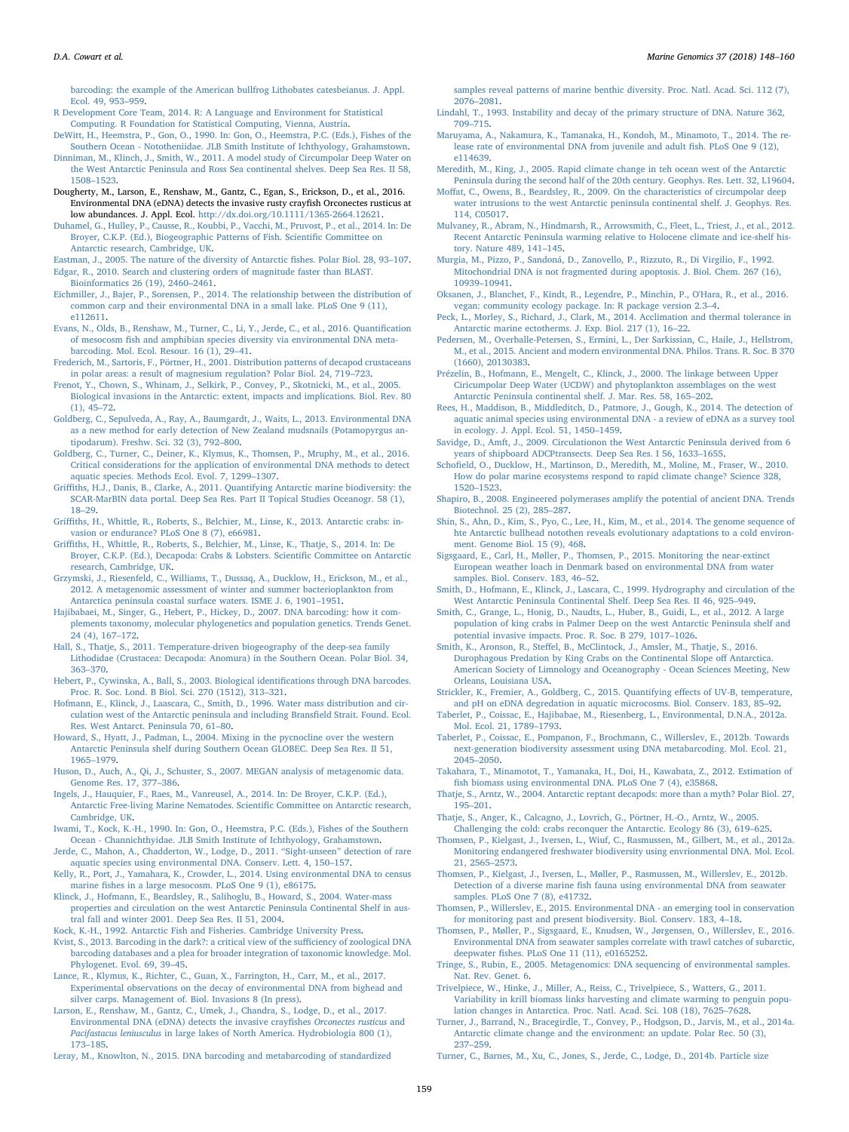[barcoding: the example of the American bullfrog Lithobates catesbeianus. J. Appl.](http://refhub.elsevier.com/S1874-7787(17)30258-1/rf0170) [Ecol. 49, 953](http://refhub.elsevier.com/S1874-7787(17)30258-1/rf0170)–959.

- <span id="page-11-20"></span>[R Development Core Team, 2014. R: A Language and Environment for Statistical](http://refhub.elsevier.com/S1874-7787(17)30258-1/rf0175) [Computing. R Foundation for Statistical Computing, Vienna, Austria](http://refhub.elsevier.com/S1874-7787(17)30258-1/rf0175).
- <span id="page-11-2"></span>[DeWitt, H., Heemstra, P., Gon, O., 1990. In: Gon, O., Heemstra, P.C. \(Eds.\), Fishes of the](http://refhub.elsevier.com/S1874-7787(17)30258-1/rf0180) [Southern Ocean - Nototheniidae. JLB Smith Institute of Ichthyology, Grahamstown](http://refhub.elsevier.com/S1874-7787(17)30258-1/rf0180).
- [Dinniman, M., Klinch, J., Smith, W., 2011. A model study of Circumpolar Deep Water on](http://refhub.elsevier.com/S1874-7787(17)30258-1/rf0185) [the West Antarctic Peninsula and Ross Sea continental shelves. Deep Sea Res. II 58,](http://refhub.elsevier.com/S1874-7787(17)30258-1/rf0185) [1508](http://refhub.elsevier.com/S1874-7787(17)30258-1/rf0185)–1523.
- <span id="page-11-31"></span>Dougherty, M., Larson, E., Renshaw, M., Gantz, C., Egan, S., Erickson, D., et al., 2016. Environmental DNA (eDNA) detects the invasive rusty crayfish Orconectes rusticus at low abundances. J. Appl. Ecol. [http://dx.doi.org/10.1111/1365-2664.12621.](http://dx.doi.org/10.1111/1365-2664.12621)
- <span id="page-11-15"></span>[Duhamel, G., Hulley, P., Causse, R., Koubbi, P., Vacchi, M., Pruvost, P., et al., 2014. In: De](http://refhub.elsevier.com/S1874-7787(17)30258-1/rf0195) [Broyer, C.K.P. \(Ed.\), Biogeographic Patterns of Fish. Scienti](http://refhub.elsevier.com/S1874-7787(17)30258-1/rf0195)fic Committee on [Antarctic research, Cambridge, UK](http://refhub.elsevier.com/S1874-7787(17)30258-1/rf0195).
- <span id="page-11-1"></span>[Eastman, J., 2005. The nature of the diversity of Antarctic](http://refhub.elsevier.com/S1874-7787(17)30258-1/rf0200) fishes. Polar Biol. 28, 93–107.

<span id="page-11-19"></span>[Edgar, R., 2010. Search and clustering orders of magnitude faster than BLAST.](http://refhub.elsevier.com/S1874-7787(17)30258-1/rf0205)

- [Bioinformatics 26 \(19\), 2460](http://refhub.elsevier.com/S1874-7787(17)30258-1/rf0205)–2461. [Eichmiller, J., Bajer, P., Sorensen, P., 2014. The relationship between the distribution of](http://refhub.elsevier.com/S1874-7787(17)30258-1/rf0210) [common carp and their environmental DNA in a small lake. PLoS One 9 \(11\),](http://refhub.elsevier.com/S1874-7787(17)30258-1/rf0210) [e112611](http://refhub.elsevier.com/S1874-7787(17)30258-1/rf0210).
- [Evans, N., Olds, B., Renshaw, M., Turner, C., Li, Y., Jerde, C., et al., 2016. Quanti](http://refhub.elsevier.com/S1874-7787(17)30258-1/rf0215)fication of mesocosm fi[sh and amphibian species diversity via environmental DNA meta](http://refhub.elsevier.com/S1874-7787(17)30258-1/rf0215)[barcoding. Mol. Ecol. Resour. 16 \(1\), 29](http://refhub.elsevier.com/S1874-7787(17)30258-1/rf0215)-41.
- <span id="page-11-4"></span>[Frederich, M., Sartoris, F., Pörtner, H., 2001. Distribution patterns of decapod crustaceans](http://refhub.elsevier.com/S1874-7787(17)30258-1/rf0220) [in polar areas: a result of magnesium regulation? Polar Biol. 24, 719](http://refhub.elsevier.com/S1874-7787(17)30258-1/rf0220)–723.
- <span id="page-11-0"></span>[Frenot, Y., Chown, S., Whinam, J., Selkirk, P., Convey, P., Skotnicki, M., et al., 2005.](http://refhub.elsevier.com/S1874-7787(17)30258-1/rf0225) [Biological invasions in the Antarctic: extent, impacts and implications. Biol. Rev. 80](http://refhub.elsevier.com/S1874-7787(17)30258-1/rf0225) [\(1\), 45](http://refhub.elsevier.com/S1874-7787(17)30258-1/rf0225)–72.
- [Goldberg, C., Sepulveda, A., Ray, A., Baumgardt, J., Waits, L., 2013. Environmental DNA](http://refhub.elsevier.com/S1874-7787(17)30258-1/rf0230) [as a new method for early detection of New Zealand mudsnails \(Potamopyrgus an](http://refhub.elsevier.com/S1874-7787(17)30258-1/rf0230)[tipodarum\). Freshw. Sci. 32 \(3\), 792](http://refhub.elsevier.com/S1874-7787(17)30258-1/rf0230)–800.
- <span id="page-11-17"></span>[Goldberg, C., Turner, C., Deiner, K., Klymus, K., Thomsen, P., Mruphy, M., et al., 2016.](http://refhub.elsevier.com/S1874-7787(17)30258-1/rf0235) [Critical considerations for the application of environmental DNA methods to detect](http://refhub.elsevier.com/S1874-7787(17)30258-1/rf0235) [aquatic species. Methods Ecol. Evol. 7, 1299](http://refhub.elsevier.com/S1874-7787(17)30258-1/rf0235)–1307.
- <span id="page-11-26"></span>Griffi[ths, H.J., Danis, B., Clarke, A., 2011. Quantifying Antarctic marine biodiversity: the](http://refhub.elsevier.com/S1874-7787(17)30258-1/rf0555) [SCAR-MarBIN data portal. Deep Sea Res. Part II Topical Studies Oceanogr. 58 \(1\),](http://refhub.elsevier.com/S1874-7787(17)30258-1/rf0555) 18–[29](http://refhub.elsevier.com/S1874-7787(17)30258-1/rf0555).
- <span id="page-11-8"></span>Griffi[ths, H., Whittle, R., Roberts, S., Belchier, M., Linse, K., 2013. Antarctic crabs: in](http://refhub.elsevier.com/S1874-7787(17)30258-1/rf0240)[vasion or endurance? PLoS One 8 \(7\), e66981](http://refhub.elsevier.com/S1874-7787(17)30258-1/rf0240).
- Griffi[ths, H., Whittle, R., Roberts, S., Belchier, M., Linse, K., Thatje, S., 2014. In: De](http://refhub.elsevier.com/S1874-7787(17)30258-1/rf0245) [Broyer, C.K.P. \(Ed.\), Decapoda: Crabs & Lobsters. Scienti](http://refhub.elsevier.com/S1874-7787(17)30258-1/rf0245)fic Committee on Antarctic
- [research, Cambridge, UK](http://refhub.elsevier.com/S1874-7787(17)30258-1/rf0245). [Grzymski, J., Riesenfeld, C., Williams, T., Dussaq, A., Ducklow, H., Erickson, M., et al.,](http://refhub.elsevier.com/S1874-7787(17)30258-1/rf0250) [2012. A metagenomic assessment of winter and summer bacterioplankton from](http://refhub.elsevier.com/S1874-7787(17)30258-1/rf0250) [Antarctica peninsula coastal surface waters. ISME J. 6, 1901](http://refhub.elsevier.com/S1874-7787(17)30258-1/rf0250)–1951.
- <span id="page-11-28"></span>Hajibabaei, [M., Singer, G., Hebert, P., Hickey, D., 2007. DNA barcoding: how it com](http://refhub.elsevier.com/S1874-7787(17)30258-1/rf0255)[plements taxonomy, molecular phylogenetics and population genetics. Trends Genet.](http://refhub.elsevier.com/S1874-7787(17)30258-1/rf0255)  $24(4)$ , 167–172.
- <span id="page-11-3"></span>[Hall, S., Thatje, S., 2011. Temperature-driven biogeography of the deep-sea family](http://refhub.elsevier.com/S1874-7787(17)30258-1/rf0260) [Lithodidae \(Crustacea: Decapoda: Anomura\) in the Southern Ocean. Polar Biol. 34,](http://refhub.elsevier.com/S1874-7787(17)30258-1/rf0260) 363–[370](http://refhub.elsevier.com/S1874-7787(17)30258-1/rf0260).
- <span id="page-11-13"></span>[Hebert, P., Cywinska, A., Ball, S., 2003. Biological identi](http://refhub.elsevier.com/S1874-7787(17)30258-1/rf0265)fications through DNA barcodes. [Proc. R. Soc. Lond. B Biol. Sci. 270 \(1512\), 313](http://refhub.elsevier.com/S1874-7787(17)30258-1/rf0265)–321.
- <span id="page-11-33"></span>[Hofmann, E., Klinck, J., Laascara, C., Smith, D., 1996. Water mass distribution and cir](http://refhub.elsevier.com/S1874-7787(17)30258-1/rf0270)[culation west of the Antarctic peninsula and including Brans](http://refhub.elsevier.com/S1874-7787(17)30258-1/rf0270)field Strait. Found. Ecol. [Res. West Antarct. Peninsula 70, 61](http://refhub.elsevier.com/S1874-7787(17)30258-1/rf0270)–80.
- <span id="page-11-34"></span>[Howard, S., Hyatt, J., Padman, L., 2004. Mixing in the pycnocline over the western](http://refhub.elsevier.com/S1874-7787(17)30258-1/rf0275) [Antarctic Peninsula shelf during Southern Ocean GLOBEC. Deep Sea Res. II 51,](http://refhub.elsevier.com/S1874-7787(17)30258-1/rf0275) [1965](http://refhub.elsevier.com/S1874-7787(17)30258-1/rf0275)–1979.
- <span id="page-11-21"></span>[Huson, D., Auch, A., Qi, J., Schuster, S., 2007. MEGAN analysis of metagenomic data.](http://refhub.elsevier.com/S1874-7787(17)30258-1/rf0280) [Genome Res. 17, 377](http://refhub.elsevier.com/S1874-7787(17)30258-1/rf0280)–386.
- <span id="page-11-27"></span>[Ingels, J., Hauquier, F., Raes, M., Vanreusel, A., 2014. In: De Broyer, C.K.P. \(Ed.\),](http://refhub.elsevier.com/S1874-7787(17)30258-1/rf0285) [Antarctic Free-living Marine Nematodes. Scienti](http://refhub.elsevier.com/S1874-7787(17)30258-1/rf0285)fic Committee on Antarctic research, [Cambridge, UK.](http://refhub.elsevier.com/S1874-7787(17)30258-1/rf0285)
- [Iwami, T., Kock, K.-H., 1990. In: Gon, O., Heemstra, P.C. \(Eds.\), Fishes of the Southern](http://refhub.elsevier.com/S1874-7787(17)30258-1/rf0290) [Ocean - Channichthyidae. JLB Smith Institute of Ichthyology, Grahamstown](http://refhub.elsevier.com/S1874-7787(17)30258-1/rf0290).
- <span id="page-11-10"></span>[Jerde, C., Mahon, A., Chadderton, W., Lodge, D., 2011.](http://refhub.elsevier.com/S1874-7787(17)30258-1/rf0295) "Sight-unseen" detection of rare [aquatic species using environmental DNA. Conserv. Lett. 4, 150](http://refhub.elsevier.com/S1874-7787(17)30258-1/rf0295)–157.

[Kelly, R., Port, J., Yamahara, K., Crowder, L., 2014. Using environmental DNA to census](http://refhub.elsevier.com/S1874-7787(17)30258-1/rf0300) marine fi[shes in a large mesocosm. PLoS One 9 \(1\), e86175](http://refhub.elsevier.com/S1874-7787(17)30258-1/rf0300).

- <span id="page-11-5"></span>[Klinck, J., Hofmann, E., Beardsley, R., Salihoglu, B., Howard, S., 2004. Water-mass](http://refhub.elsevier.com/S1874-7787(17)30258-1/rf0305) [properties and circulation on the west Antarctic Peninsula Continental Shelf in aus](http://refhub.elsevier.com/S1874-7787(17)30258-1/rf0305)[tral fall and winter 2001. Deep Sea Res. II 51, 2004.](http://refhub.elsevier.com/S1874-7787(17)30258-1/rf0305)
- [Kock, K.-H., 1992. Antarctic Fish and Fisheries. Cambridge University Press](http://refhub.elsevier.com/S1874-7787(17)30258-1/rf0310).
- <span id="page-11-24"></span>[Kvist, S., 2013. Barcoding in the dark?: a critical view of the su](http://refhub.elsevier.com/S1874-7787(17)30258-1/rf0315)fficiency of zoological DNA [barcoding databases and a plea for broader integration of taxonomic knowledge. Mol.](http://refhub.elsevier.com/S1874-7787(17)30258-1/rf0315) [Phylogenet. Evol. 69, 39](http://refhub.elsevier.com/S1874-7787(17)30258-1/rf0315)–45. [Lance, R., Klymus, K., Richter, C., Guan, X., Farrington, H., Carr, M., et al., 2017.](http://refhub.elsevier.com/S1874-7787(17)30258-1/rf0320)
- [Experimental observations on the decay of environmental DNA from bighead and](http://refhub.elsevier.com/S1874-7787(17)30258-1/rf0320) [silver carps. Management of. Biol. Invasions 8 \(In press\)](http://refhub.elsevier.com/S1874-7787(17)30258-1/rf0320).
- [Larson, E., Renshaw, M., Gantz, C., Umek, J., Chandra, S., Lodge, D., et al., 2017.](http://refhub.elsevier.com/S1874-7787(17)30258-1/rf0325) [Environmental DNA \(eDNA\) detects the invasive cray](http://refhub.elsevier.com/S1874-7787(17)30258-1/rf0325)fishes Orconectes rusticus and Pacifastacus leniusculus [in large lakes of North America. Hydrobiologia 800 \(1\),](http://refhub.elsevier.com/S1874-7787(17)30258-1/rf0325) 173–[185](http://refhub.elsevier.com/S1874-7787(17)30258-1/rf0325).
- [Leray, M., Knowlton, N., 2015. DNA barcoding and metabarcoding of standardized](http://refhub.elsevier.com/S1874-7787(17)30258-1/rf0330)

[samples reveal patterns of marine benthic diversity. Proc. Natl. Acad. Sci. 112 \(7\),](http://refhub.elsevier.com/S1874-7787(17)30258-1/rf0330) 2076–[2081](http://refhub.elsevier.com/S1874-7787(17)30258-1/rf0330).

- <span id="page-11-16"></span>[Lindahl, T., 1993. Instability and decay of the primary structure of DNA. Nature 362,](http://refhub.elsevier.com/S1874-7787(17)30258-1/rf0335) 709–[715](http://refhub.elsevier.com/S1874-7787(17)30258-1/rf0335).
- <span id="page-11-23"></span>Maruyama, [A., Nakamura, K., Tamanaka, H., Kondoh, M., Minamoto, T., 2014. The re](http://refhub.elsevier.com/S1874-7787(17)30258-1/rf0340)[lease rate of environmental DNA from juvenile and adult](http://refhub.elsevier.com/S1874-7787(17)30258-1/rf0340) fish. PLoS One 9 (12), [e114639](http://refhub.elsevier.com/S1874-7787(17)30258-1/rf0340).

[Meredith, M., King, J., 2005. Rapid climate change in teh ocean west of the Antarctic](http://refhub.elsevier.com/S1874-7787(17)30258-1/rf0345) [Peninsula during the second half of the 20th century. Geophys. Res. Lett. 32, L19604.](http://refhub.elsevier.com/S1874-7787(17)30258-1/rf0345)

- Moff[at, C., Owens, B., Beardsley, R., 2009. On the characteristics of circumpolar deep](http://refhub.elsevier.com/S1874-7787(17)30258-1/rf0350) [water intrusions to the west Antarctic peninsula continental shelf. J. Geophys. Res.](http://refhub.elsevier.com/S1874-7787(17)30258-1/rf0350) [114, C05017](http://refhub.elsevier.com/S1874-7787(17)30258-1/rf0350).
- [Mulvaney, R., Abram, N., Hindmarsh, R., Arrowsmith, C., Fleet, L., Triest, J., et al., 2012.](http://refhub.elsevier.com/S1874-7787(17)30258-1/rf0355) [Recent Antarctic Peninsula warming relative to Holocene climate and ice-shelf his](http://refhub.elsevier.com/S1874-7787(17)30258-1/rf0355)[tory. Nature 489, 141](http://refhub.elsevier.com/S1874-7787(17)30258-1/rf0355)–145.
- <span id="page-11-36"></span>[Murgia, M., Pizzo, P., Sandoná, D., Zanovello, P., Rizzuto, R., Di Virgilio, F., 1992.](http://refhub.elsevier.com/S1874-7787(17)30258-1/rf0360) [Mitochondrial DNA is not fragmented during apoptosis. J. Biol. Chem. 267 \(16\),](http://refhub.elsevier.com/S1874-7787(17)30258-1/rf0360) 10939–[10941.](http://refhub.elsevier.com/S1874-7787(17)30258-1/rf0360)
- <span id="page-11-22"></span>[Oksanen, J., Blanchet, F., Kindt, R., Legendre, P., Minchin, P., O'Hara, R., et al., 2016.](http://refhub.elsevier.com/S1874-7787(17)30258-1/rf0365) [vegan: community ecology package. In: R package version 2.3](http://refhub.elsevier.com/S1874-7787(17)30258-1/rf0365)–4.
- [Peck, L., Morley, S., Richard, J., Clark, M., 2014. Acclimation and thermal tolerance in](http://refhub.elsevier.com/S1874-7787(17)30258-1/rf0370) [Antarctic marine ectotherms. J. Exp. Biol. 217 \(1\), 16](http://refhub.elsevier.com/S1874-7787(17)30258-1/rf0370)–22.
- <span id="page-11-38"></span>[Pedersen, M., Overballe-Petersen, S., Ermini, L., Der Sarkissian, C., Haile, J., Hellstrom,](http://refhub.elsevier.com/S1874-7787(17)30258-1/rf0375) [M., et al., 2015. Ancient and modern environmental DNA. Philos. Trans. R. Soc. B 370](http://refhub.elsevier.com/S1874-7787(17)30258-1/rf0375) [\(1660\), 20130383](http://refhub.elsevier.com/S1874-7787(17)30258-1/rf0375).
- [Prézelin, B., Hofmann, E., Mengelt, C., Klinck, J., 2000. The linkage between Upper](http://refhub.elsevier.com/S1874-7787(17)30258-1/rf0380) [Ciricumpolar Deep Water \(UCDW\) and phytoplankton assemblages on the west](http://refhub.elsevier.com/S1874-7787(17)30258-1/rf0380) [Antarctic Peninsula continental shelf. J. Mar. Res. 58, 165](http://refhub.elsevier.com/S1874-7787(17)30258-1/rf0380)–202.
- [Rees, H., Maddison, B., Middleditch, D., Patmore, J., Gough, K., 2014. The detection of](http://refhub.elsevier.com/S1874-7787(17)30258-1/rf0385) [aquatic animal species using environmental DNA - a review of eDNA as a survey tool](http://refhub.elsevier.com/S1874-7787(17)30258-1/rf0385) [in ecology. J. Appl. Ecol. 51, 1450](http://refhub.elsevier.com/S1874-7787(17)30258-1/rf0385)–1459.
- <span id="page-11-35"></span>[Savidge, D., Amft, J., 2009. Circulationon the West Antarctic Peninsula derived from 6](http://refhub.elsevier.com/S1874-7787(17)30258-1/rf0390) [years of shipboard ADCPtransects. Deep Sea Res. I 56, 1633](http://refhub.elsevier.com/S1874-7787(17)30258-1/rf0390)–1655.
- Schofi[eld, O., Ducklow, H., Martinson, D., Meredith, M., Moline, M., Fraser, W., 2010.](http://refhub.elsevier.com/S1874-7787(17)30258-1/rf0395) [How do polar marine ecosystems respond to rapid climate change? Science 328,](http://refhub.elsevier.com/S1874-7787(17)30258-1/rf0395) 1520–[1523](http://refhub.elsevier.com/S1874-7787(17)30258-1/rf0395).
- [Shapiro, B., 2008. Engineered polymerases amplify the potential of ancient DNA. Trends](http://refhub.elsevier.com/S1874-7787(17)30258-1/rf0400) [Biotechnol. 25 \(2\), 285](http://refhub.elsevier.com/S1874-7787(17)30258-1/rf0400)–287.
- <span id="page-11-25"></span>[Shin, S., Ahn, D., Kim, S., Pyo, C., Lee, H., Kim, M., et al., 2014. The genome sequence of](http://refhub.elsevier.com/S1874-7787(17)30258-1/rf0405) [hte Antarctic bullhead notothen reveals evolutionary adaptations to a cold environ](http://refhub.elsevier.com/S1874-7787(17)30258-1/rf0405)[ment. Genome Biol. 15 \(9\), 468.](http://refhub.elsevier.com/S1874-7787(17)30258-1/rf0405)
- <span id="page-11-39"></span>[Sigsgaard, E., Carl, H., Møller, P., Thomsen, P., 2015. Monitoring the near-extinct](http://refhub.elsevier.com/S1874-7787(17)30258-1/rf0410) [European weather loach in Denmark based on environmental DNA from water](http://refhub.elsevier.com/S1874-7787(17)30258-1/rf0410) [samples. Biol. Conserv. 183, 46](http://refhub.elsevier.com/S1874-7787(17)30258-1/rf0410)–52.
- <span id="page-11-7"></span>[Smith, D., Hofmann, E., Klinck, J., Lascara, C., 1999. Hydrography and circulation of the](http://refhub.elsevier.com/S1874-7787(17)30258-1/rf0415) [West Antarctic Peninsula Continental Shelf. Deep Sea Res. II 46, 925](http://refhub.elsevier.com/S1874-7787(17)30258-1/rf0415)–949.
- <span id="page-11-6"></span>[Smith, C., Grange, L., Honig, D., Naudts, L., Huber, B., Guidi, L., et al., 2012. A large](http://refhub.elsevier.com/S1874-7787(17)30258-1/rf0420) [population of king crabs in Palmer Deep on the west Antarctic Peninsula shelf and](http://refhub.elsevier.com/S1874-7787(17)30258-1/rf0420) [potential invasive impacts. Proc. R. Soc. B 279, 1017](http://refhub.elsevier.com/S1874-7787(17)30258-1/rf0420)–1026.
- Smith, K., Aronson, R., Steff[el, B., McClintock, J., Amsler, M., Thatje, S., 2016.](http://refhub.elsevier.com/S1874-7787(17)30258-1/rf0425) [Durophagous Predation by King Crabs on the Continental Slope o](http://refhub.elsevier.com/S1874-7787(17)30258-1/rf0425)ff Antarctica. [American Society of Limnology and Oceanography - Ocean Sciences Meeting, New](http://refhub.elsevier.com/S1874-7787(17)30258-1/rf0425) [Orleans, Louisiana USA](http://refhub.elsevier.com/S1874-7787(17)30258-1/rf0425).
- <span id="page-11-32"></span>[Strickler, K., Fremier, A., Goldberg, C., 2015. Quantifying e](http://refhub.elsevier.com/S1874-7787(17)30258-1/rf0430)ffects of UV-B, temperature, [and pH on eDNA degredation in aquatic microcosms. Biol. Conserv. 183, 85](http://refhub.elsevier.com/S1874-7787(17)30258-1/rf0430)–92.
- [Taberlet, P., Coissac, E., Hajibabae, M., Riesenberg, L., Environmental, D.N.A., 2012a.](http://refhub.elsevier.com/S1874-7787(17)30258-1/rf0435) [Mol. Ecol. 21, 1789](http://refhub.elsevier.com/S1874-7787(17)30258-1/rf0435)–1793.
- [Taberlet, P., Coissac, E., Pompanon, F., Brochmann, C., Willerslev, E., 2012b. Towards](http://refhub.elsevier.com/S1874-7787(17)30258-1/rf0440) [next-generation biodiversity assessment using DNA metabarcoding. Mol. Ecol. 21,](http://refhub.elsevier.com/S1874-7787(17)30258-1/rf0440) 2045–[2050](http://refhub.elsevier.com/S1874-7787(17)30258-1/rf0440).
- <span id="page-11-30"></span>[Takahara, T., Minamotot, T., Yamanaka, H., Doi, H., Kawabata, Z., 2012. Estimation of](http://refhub.elsevier.com/S1874-7787(17)30258-1/rf0445) fi[sh biomass using environmental DNA. PLoS One 7 \(4\), e35868.](http://refhub.elsevier.com/S1874-7787(17)30258-1/rf0445)
- [Thatje, S., Arntz, W., 2004. Antarctic reptant decapods: more than a myth? Polar Biol. 27,](http://refhub.elsevier.com/S1874-7787(17)30258-1/rf0450) 195–[201](http://refhub.elsevier.com/S1874-7787(17)30258-1/rf0450).
- <span id="page-11-29"></span>[Thatje, S., Anger, K., Calcagno, J., Lovrich, G., Pörtner, H.-O., Arntz, W., 2005.](http://refhub.elsevier.com/S1874-7787(17)30258-1/rf0455) [Challenging the cold: crabs reconquer the Antarctic. Ecology 86 \(3\), 619](http://refhub.elsevier.com/S1874-7787(17)30258-1/rf0455)–625.
- <span id="page-11-12"></span>[Thomsen, P., Kielgast, J., Iversen, L., Wiuf, C., Rasmussen, M., Gilbert, M., et al., 2012a.](http://refhub.elsevier.com/S1874-7787(17)30258-1/rf0460) [Monitoring endangered freshwater biodiversity using envrionmental DNA. Mol. Ecol.](http://refhub.elsevier.com/S1874-7787(17)30258-1/rf0460) [21, 2565](http://refhub.elsevier.com/S1874-7787(17)30258-1/rf0460)–2573.
- <span id="page-11-18"></span>[Thomsen, P., Kielgast, J., Iversen, L., Møller, P., Rasmussen, M., Willerslev, E., 2012b.](http://refhub.elsevier.com/S1874-7787(17)30258-1/rf0465) Detection of a diverse marine fi[sh fauna using environmental DNA from seawater](http://refhub.elsevier.com/S1874-7787(17)30258-1/rf0465) [samples. PLoS One 7 \(8\), e41732](http://refhub.elsevier.com/S1874-7787(17)30258-1/rf0465).
- <span id="page-11-11"></span>[Thomsen, P., Willerslev, E., 2015. Environmental DNA - an emerging tool in conservation](http://refhub.elsevier.com/S1874-7787(17)30258-1/rf0470) [for monitoring past and present biodiversity. Biol. Conserv. 183, 4](http://refhub.elsevier.com/S1874-7787(17)30258-1/rf0470)–18.
- [Thomsen, P., Møller, P., Sigsgaard, E., Knudsen, W., Jørgensen, O., Willerslev, E., 2016.](http://refhub.elsevier.com/S1874-7787(17)30258-1/rf0475) [Environmental DNA from seawater samples correlate with trawl catches of subarctic,](http://refhub.elsevier.com/S1874-7787(17)30258-1/rf0475) deepwater fi[shes. PLoS One 11 \(11\), e0165252.](http://refhub.elsevier.com/S1874-7787(17)30258-1/rf0475)
- <span id="page-11-14"></span>[Tringe, S., Rubin, E., 2005. Metagenomics: DNA sequencing of environmental samples.](http://refhub.elsevier.com/S1874-7787(17)30258-1/rf0480) [Nat. Rev. Genet. 6.](http://refhub.elsevier.com/S1874-7787(17)30258-1/rf0480)
- [Trivelpiece, W., Hinke, J., Miller, A., Reiss, C., Trivelpiece, S., Watters, G., 2011.](http://refhub.elsevier.com/S1874-7787(17)30258-1/rf0485) [Variability in krill biomass links harvesting and climate warming to penguin popu](http://refhub.elsevier.com/S1874-7787(17)30258-1/rf0485)[lation changes in Antarctica. Proc. Natl. Acad. Sci. 108 \(18\), 7625](http://refhub.elsevier.com/S1874-7787(17)30258-1/rf0485)–7628.
- <span id="page-11-9"></span>[Turner, J., Barrand, N., Bracegirdle, T., Convey, P., Hodgson, D., Jarvis, M., et al., 2014a.](http://refhub.elsevier.com/S1874-7787(17)30258-1/rf0490) [Antarctic climate change and the environment: an update. Polar Rec. 50 \(3\),](http://refhub.elsevier.com/S1874-7787(17)30258-1/rf0490) 237–[259](http://refhub.elsevier.com/S1874-7787(17)30258-1/rf0490).
- <span id="page-11-37"></span>[Turner, C., Barnes, M., Xu, C., Jones, S., Jerde, C., Lodge, D., 2014b. Particle size](http://refhub.elsevier.com/S1874-7787(17)30258-1/rf0495)